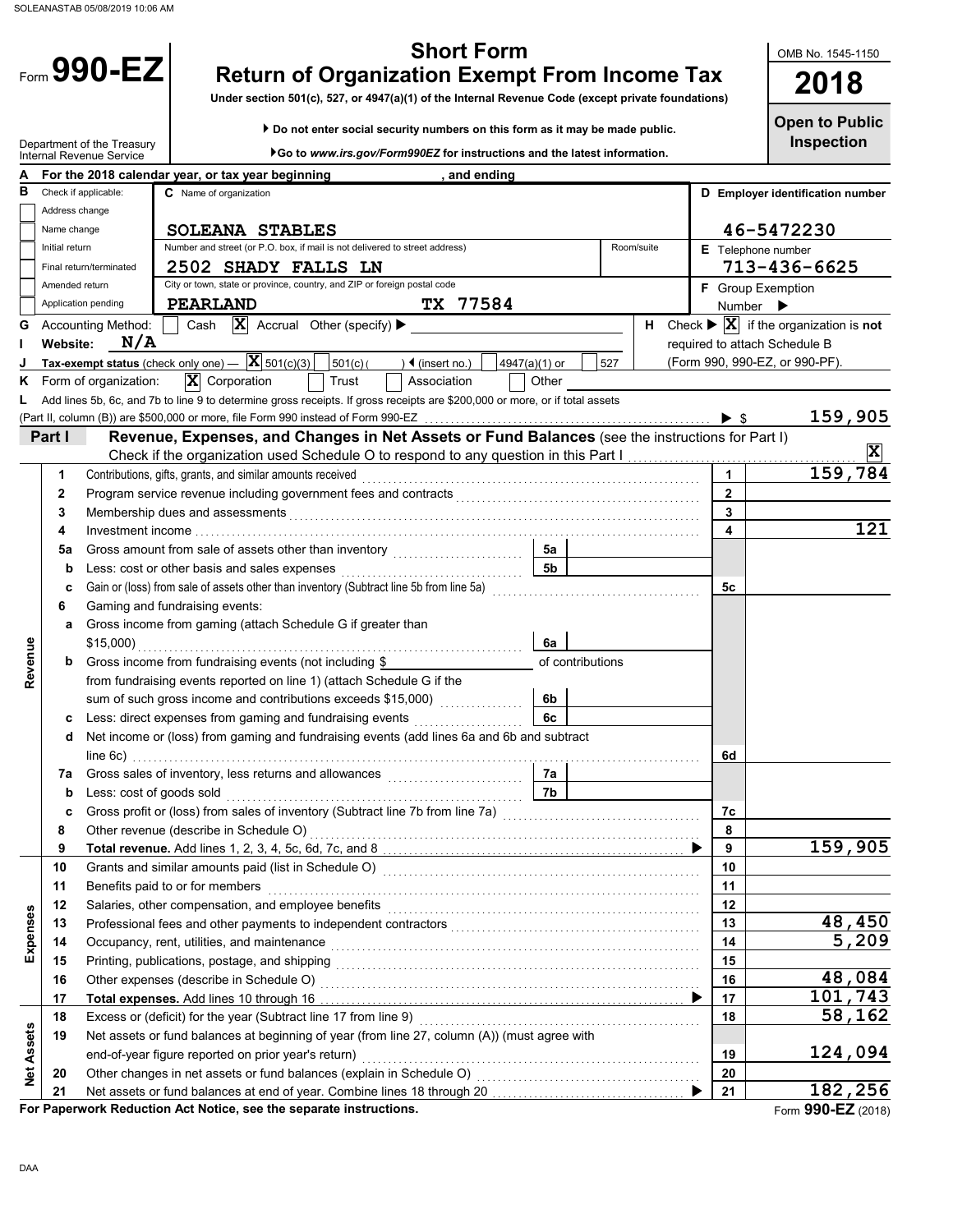|                   |                 | Form $990-EZ$                                          | <b>Short Form</b><br><b>Return of Organization Exempt From Income Tax</b><br>Under section 501(c), 527, or 4947(a)(1) of the Internal Revenue Code (except private foundations) |              | OMB No. 1545-1150<br>2018                                                                                      |
|-------------------|-----------------|--------------------------------------------------------|---------------------------------------------------------------------------------------------------------------------------------------------------------------------------------|--------------|----------------------------------------------------------------------------------------------------------------|
|                   |                 | Department of the Treasury<br>Internal Revenue Service | Do not enter social security numbers on this form as it may be made public.<br>▶Go to www.irs.gov/Form990EZ for instructions and the latest information.                        |              | <b>Open to Public</b><br><b>Inspection</b>                                                                     |
| А                 |                 |                                                        | For the 2018 calendar year, or tax year beginning<br>, and ending                                                                                                               |              |                                                                                                                |
| в                 |                 | Check if applicable:                                   | C Name of organization                                                                                                                                                          |              | D Employer identification number                                                                               |
|                   | Address change  |                                                        |                                                                                                                                                                                 |              |                                                                                                                |
|                   | Name change     |                                                        | <b>SOLEANA STABLES</b>                                                                                                                                                          |              | 46-5472230                                                                                                     |
|                   | Initial return  |                                                        | Number and street (or P.O. box, if mail is not delivered to street address)<br>Room/suite                                                                                       |              | <b>E</b> Telephone number                                                                                      |
|                   |                 | Final return/terminated                                | 2502 SHADY FALLS LN                                                                                                                                                             |              | 713-436-6625                                                                                                   |
|                   | Amended return  |                                                        | City or town, state or province, country, and ZIP or foreign postal code                                                                                                        |              | F Group Exemption                                                                                              |
|                   |                 | Application pending                                    | TX 77584<br>PEARLAND<br>$ \mathbf{X} $ Accrual Other (specify) $\blacktriangleright$                                                                                            |              | Number $\blacktriangleright$<br>H Check $\blacktriangleright \overline{\mathbf{X}}$ if the organization is not |
|                   | <b>Website:</b> | <b>Accounting Method:</b><br>N/A                       | Cash                                                                                                                                                                            |              | required to attach Schedule B                                                                                  |
|                   |                 |                                                        | Tax-exempt status (check only one) $-\left \mathbf{X}\right $ 501(c)(3)<br>$501(c)$ (<br>$\sqrt{4}$ (insert no.)<br>4947(a)(1) or<br>527                                        |              | (Form 990, 990-EZ, or 990-PF).                                                                                 |
| Κ                 |                 | Form of organization:                                  | $\mathbf{X}$ Corporation<br>Trust<br>Association<br>Other                                                                                                                       |              |                                                                                                                |
|                   |                 |                                                        | Add lines 5b, 6c, and 7b to line 9 to determine gross receipts. If gross receipts are \$200,000 or more, or if total assets                                                     |              |                                                                                                                |
|                   |                 |                                                        |                                                                                                                                                                                 |              | 159,905                                                                                                        |
|                   | Part I          |                                                        | Revenue, Expenses, and Changes in Net Assets or Fund Balances (see the instructions for Part I)                                                                                 |              |                                                                                                                |
|                   |                 |                                                        |                                                                                                                                                                                 |              | $\overline{\mathbf{x}}$                                                                                        |
|                   | 1               |                                                        | Contributions, gifts, grants, and similar amounts received                                                                                                                      | $\mathbf{1}$ | 159,784                                                                                                        |
|                   | $\mathbf{2}$    |                                                        |                                                                                                                                                                                 | $\mathbf{2}$ |                                                                                                                |
|                   | 3               |                                                        | Membership dues and assessments                                                                                                                                                 | 3            | 121                                                                                                            |
|                   | 4<br>5a         |                                                        | 5a                                                                                                                                                                              | 4            |                                                                                                                |
|                   | b               |                                                        | 5 <sub>b</sub><br>Less: cost or other basis and sales expenses                                                                                                                  |              |                                                                                                                |
|                   | c               |                                                        | Gain or (loss) from sale of assets other than inventory (Subtract line 5b from line 5a)                                                                                         | 5с           |                                                                                                                |
|                   | 6               |                                                        | Gaming and fundraising events:                                                                                                                                                  |              |                                                                                                                |
|                   | a               |                                                        | Gross income from gaming (attach Schedule G if greater than                                                                                                                     |              |                                                                                                                |
|                   |                 |                                                        | \$15,000)<br>6a                                                                                                                                                                 |              |                                                                                                                |
| Revenue           | b               |                                                        | Gross income from fundraising events (not including \$<br>of contributions                                                                                                      |              |                                                                                                                |
|                   |                 |                                                        | from fundraising events reported on line 1) (attach Schedule G if the                                                                                                           |              |                                                                                                                |
|                   |                 |                                                        | sum of such gross income and contributions exceeds \$15,000)<br>6b                                                                                                              |              |                                                                                                                |
|                   | c               |                                                        | Less: direct expenses from gaming and fundraising events<br>6c                                                                                                                  |              |                                                                                                                |
|                   | d               |                                                        | Net income or (loss) from gaming and fundraising events (add lines 6a and 6b and subtract                                                                                       | 6d           |                                                                                                                |
|                   | 7а              |                                                        | 7a                                                                                                                                                                              |              |                                                                                                                |
|                   | b               | Less: cost of goods sold                               | 7b                                                                                                                                                                              |              |                                                                                                                |
|                   | c               |                                                        | Gross profit or (loss) from sales of inventory (Subtract line 7b from line 7a) [[[[[[[[[[[[[[[[[[[[[[[[[[[[[[                                                                   | 7c           |                                                                                                                |
|                   | 8               |                                                        | Other revenue (describe in Schedule O)                                                                                                                                          | 8            |                                                                                                                |
|                   | 9               |                                                        |                                                                                                                                                                                 | 9            | 159,905                                                                                                        |
|                   | 10              |                                                        |                                                                                                                                                                                 | 10           |                                                                                                                |
|                   | 11              |                                                        | Benefits paid to or for members                                                                                                                                                 | 11           |                                                                                                                |
|                   | 12              |                                                        |                                                                                                                                                                                 | 12           |                                                                                                                |
| Expenses          | 13              |                                                        |                                                                                                                                                                                 | 13<br>14     | 48,450<br>5,209                                                                                                |
|                   | 14<br>15        |                                                        |                                                                                                                                                                                 | 15           |                                                                                                                |
|                   | 16              |                                                        |                                                                                                                                                                                 | 16           | 48,084                                                                                                         |
|                   | 17              |                                                        |                                                                                                                                                                                 | 17           | 101,743                                                                                                        |
|                   | 18              |                                                        |                                                                                                                                                                                 | 18           | 58,162                                                                                                         |
|                   | 19              |                                                        | Net assets or fund balances at beginning of year (from line 27, column (A)) (must agree with                                                                                    |              |                                                                                                                |
| <b>Net Assets</b> |                 |                                                        | end-of-year figure reported on prior year's return)                                                                                                                             | 19           | <u> 124,094</u>                                                                                                |
|                   | 20              |                                                        |                                                                                                                                                                                 | 20           |                                                                                                                |
|                   | 21              |                                                        |                                                                                                                                                                                 | 21           | 182,256                                                                                                        |

**For Paperwork Reduction Act Notice, see the separate instructions.**

Form **990-EZ** (2018)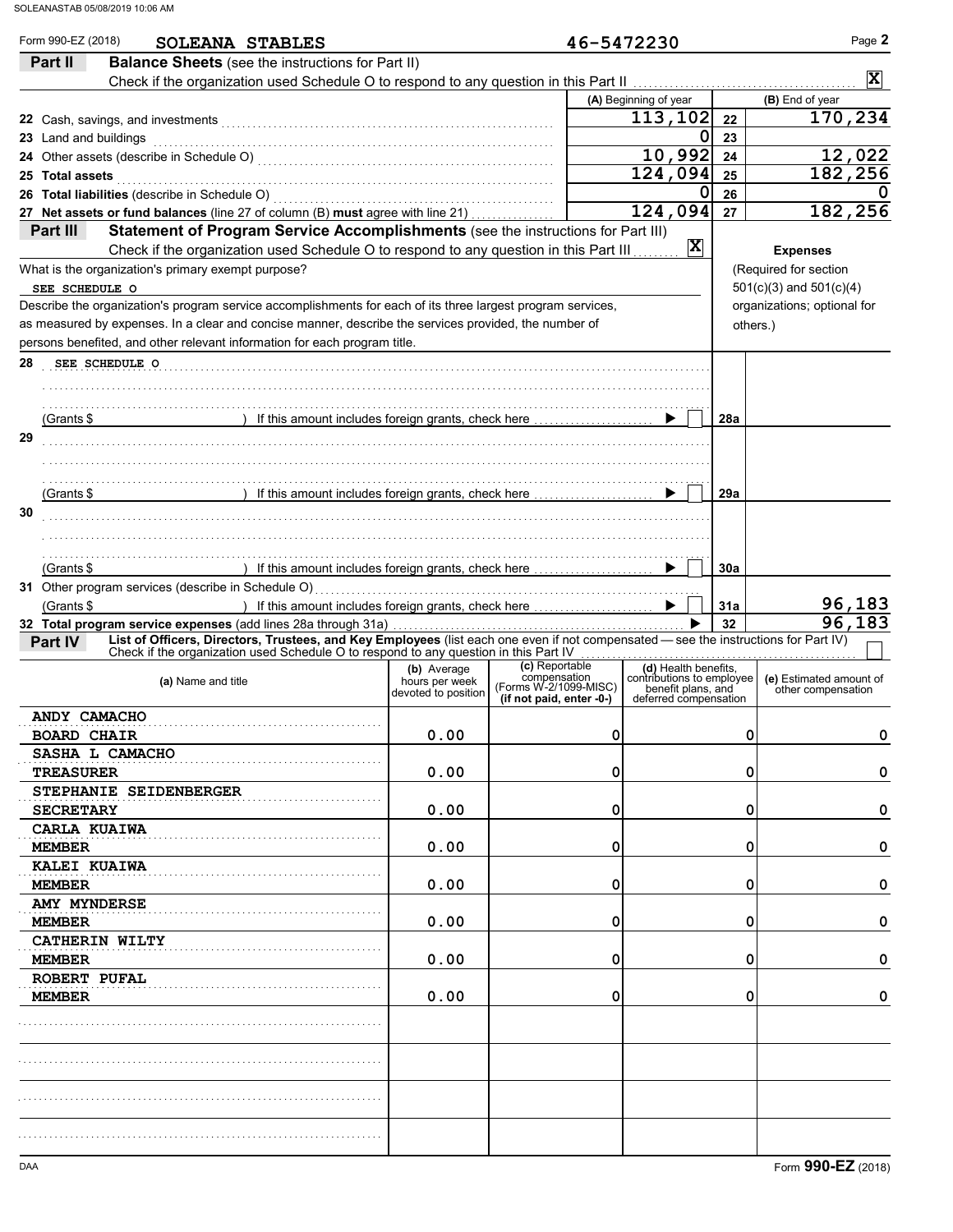| Part II               | SOLEANA STABLES<br><b>Balance Sheets</b> (see the instructions for Part II)                                                         |                               | 46-5472230                            |                                             |     |                             |
|-----------------------|-------------------------------------------------------------------------------------------------------------------------------------|-------------------------------|---------------------------------------|---------------------------------------------|-----|-----------------------------|
|                       |                                                                                                                                     |                               |                                       |                                             |     | $\overline{\mathbf{x}}$     |
|                       |                                                                                                                                     |                               |                                       | (A) Beginning of year                       |     | (B) End of year             |
|                       |                                                                                                                                     |                               |                                       | 113,102                                     | 22  | 170,234                     |
| 23 Land and buildings |                                                                                                                                     |                               |                                       | 0                                           | 23  |                             |
|                       |                                                                                                                                     |                               |                                       | 10,992                                      | 24  | 12,022                      |
| 25 Total assets       |                                                                                                                                     |                               |                                       | 124,094                                     | 25  | 182,256                     |
|                       |                                                                                                                                     |                               |                                       | 0                                           | 26  |                             |
|                       | 27 Net assets or fund balances (line 27 of column (B) must agree with line 21)                                                      |                               |                                       | 124,094                                     | 27  | 182,256                     |
| Part III              | Statement of Program Service Accomplishments (see the instructions for Part III)                                                    |                               |                                       |                                             |     |                             |
|                       | Check if the organization used Schedule O to respond to any question in this Part III                                               |                               |                                       | $\overline{\mathbf{x}}$                     |     | <b>Expenses</b>             |
|                       | What is the organization's primary exempt purpose?                                                                                  |                               |                                       |                                             |     | (Required for section       |
| SEE SCHEDULE O        |                                                                                                                                     |                               |                                       |                                             |     | $501(c)(3)$ and $501(c)(4)$ |
|                       | Describe the organization's program service accomplishments for each of its three largest program services,                         |                               |                                       |                                             |     | organizations; optional for |
|                       | as measured by expenses. In a clear and concise manner, describe the services provided, the number of                               |                               |                                       |                                             |     | others.)                    |
|                       | persons benefited, and other relevant information for each program title.                                                           |                               |                                       |                                             |     |                             |
|                       |                                                                                                                                     |                               |                                       |                                             |     |                             |
| 28                    | SEE SCHEDULE O                                                                                                                      |                               |                                       |                                             |     |                             |
|                       |                                                                                                                                     |                               |                                       |                                             |     |                             |
|                       |                                                                                                                                     |                               |                                       |                                             |     |                             |
| (Grants \$            | ) If this amount includes foreign grants, check here                                                                                |                               |                                       |                                             | 28a |                             |
| 29                    |                                                                                                                                     |                               |                                       |                                             |     |                             |
|                       |                                                                                                                                     |                               |                                       |                                             |     |                             |
|                       |                                                                                                                                     |                               |                                       |                                             |     |                             |
| (Grants \$            | ) If this amount includes foreign grants, check here                                                                                |                               |                                       |                                             | 29a |                             |
| 30                    |                                                                                                                                     |                               |                                       |                                             |     |                             |
|                       |                                                                                                                                     |                               |                                       |                                             |     |                             |
|                       |                                                                                                                                     |                               |                                       |                                             |     |                             |
| (Grants \$            | ) If this amount includes foreign grants, check here                                                                                |                               |                                       |                                             | 30a |                             |
|                       | 31 Other program services (describe in Schedule O)                                                                                  |                               |                                       |                                             |     |                             |
| (Grants \$            | ) If this amount includes foreign grants, check here                                                                                |                               |                                       |                                             | 31a | 96,183                      |
|                       | 32 Total program service expenses (add lines 28a through 31a)                                                                       |                               |                                       |                                             | 32  | 96,183                      |
| Part IV               | List of Officers, Directors, Trustees, and Key Employees (list each one even if not compensated - see the instructions for Part IV) |                               |                                       |                                             |     |                             |
|                       | Check if the organization used Schedule O to respond to any question in this Part IV                                                |                               | .<br>(c) Reportable                   | (d) Health benefits.                        |     |                             |
|                       | (a) Name and title                                                                                                                  | (b) Average<br>hours per week | compensation<br>(Forms W-2/1099-MISC) | contributions to employee                   |     | (e) Estimated amount of     |
|                       |                                                                                                                                     | devoted to position           | (if not paid, enter -0-)              | benefit plans, and<br>deferred compensation |     | other compensation          |
| <b>ANDY CAMACHO</b>   |                                                                                                                                     |                               |                                       |                                             |     |                             |
| <b>BOARD CHAIR</b>    |                                                                                                                                     | 0.00                          | 0                                     |                                             | 0   | 0                           |
|                       | SASHA L CAMACHO                                                                                                                     |                               |                                       |                                             |     |                             |
|                       |                                                                                                                                     |                               | 0                                     |                                             | 0   | 0                           |
| <b>TREASURER</b>      |                                                                                                                                     | 0.00                          |                                       |                                             |     |                             |
|                       | STEPHANIE SEIDENBERGER                                                                                                              |                               |                                       |                                             |     |                             |
| <b>SECRETARY</b>      |                                                                                                                                     | 0.00                          | 0                                     |                                             | 0   | 0                           |
| CARLA KUAIWA          |                                                                                                                                     |                               |                                       |                                             |     |                             |
| <b>MEMBER</b>         |                                                                                                                                     | 0.00                          | 0                                     |                                             | 0   | 0                           |
| KALEI KUAIWA          |                                                                                                                                     |                               |                                       |                                             |     |                             |
| <b>MEMBER</b>         |                                                                                                                                     | 0.00                          | 0                                     |                                             | 0   | 0                           |
| AMY MYNDERSE          |                                                                                                                                     |                               |                                       |                                             |     |                             |
| <b>MEMBER</b>         |                                                                                                                                     | 0.00                          | 0                                     |                                             | 0   | 0                           |
|                       | CATHERIN WILTY                                                                                                                      |                               |                                       |                                             |     |                             |
| <b>MEMBER</b>         |                                                                                                                                     | 0.00                          | 0                                     |                                             | 0   | 0                           |
| <b>ROBERT PUFAL</b>   |                                                                                                                                     |                               |                                       |                                             |     |                             |
|                       |                                                                                                                                     |                               |                                       |                                             |     |                             |
|                       |                                                                                                                                     |                               |                                       |                                             |     |                             |
| <b>MEMBER</b>         |                                                                                                                                     | 0.00                          | 0                                     |                                             | 0   |                             |
|                       |                                                                                                                                     |                               |                                       |                                             |     |                             |
|                       |                                                                                                                                     |                               |                                       |                                             |     |                             |
|                       |                                                                                                                                     |                               |                                       |                                             |     |                             |
|                       |                                                                                                                                     |                               |                                       |                                             |     |                             |
|                       |                                                                                                                                     |                               |                                       |                                             |     |                             |
|                       |                                                                                                                                     |                               |                                       |                                             |     | 0                           |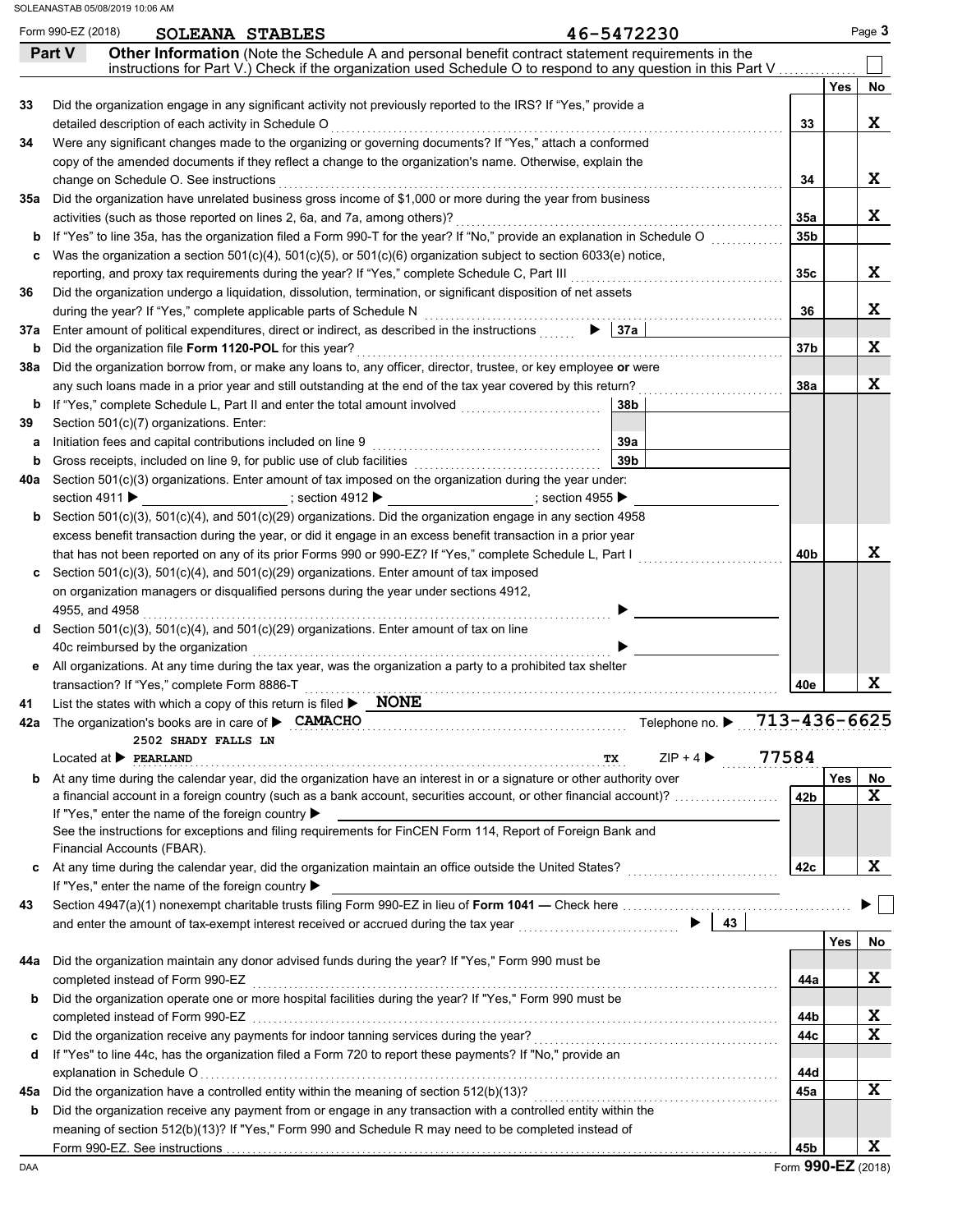|     | Form 990-EZ (2018)<br>46-5472230<br>SOLEANA STABLES                                                                                                                                                                    |                              |                 |            | Page 3 |
|-----|------------------------------------------------------------------------------------------------------------------------------------------------------------------------------------------------------------------------|------------------------------|-----------------|------------|--------|
|     | Other Information (Note the Schedule A and personal benefit contract statement requirements in the<br>Part V                                                                                                           |                              |                 |            |        |
|     | instructions for Part V.) Check if the organization used Schedule O to respond to any question in this Part V                                                                                                          |                              |                 |            |        |
|     |                                                                                                                                                                                                                        |                              |                 | <b>Yes</b> | No     |
| 33  | Did the organization engage in any significant activity not previously reported to the IRS? If "Yes," provide a                                                                                                        |                              |                 |            | X      |
| 34  | Were any significant changes made to the organizing or governing documents? If "Yes," attach a conformed                                                                                                               |                              | 33              |            |        |
|     | copy of the amended documents if they reflect a change to the organization's name. Otherwise, explain the                                                                                                              |                              |                 |            |        |
|     |                                                                                                                                                                                                                        |                              | 34              |            | X      |
| 35а | Did the organization have unrelated business gross income of \$1,000 or more during the year from business                                                                                                             |                              |                 |            |        |
|     | activities (such as those reported on lines 2, 6a, and 7a, among others)?                                                                                                                                              |                              | 35a             |            | X      |
| b   | If "Yes" to line 35a, has the organization filed a Form 990-T for the year? If "No," provide an explanation in Schedule O                                                                                              |                              | 35 <sub>b</sub> |            |        |
| c   | Was the organization a section $501(c)(4)$ , $501(c)(5)$ , or $501(c)(6)$ organization subject to section $6033(e)$ notice,                                                                                            |                              |                 |            |        |
|     |                                                                                                                                                                                                                        |                              | 35c             |            | X      |
| 36  | Did the organization undergo a liquidation, dissolution, termination, or significant disposition of net assets                                                                                                         |                              |                 |            |        |
|     | during the year? If "Yes," complete applicable parts of Schedule N                                                                                                                                                     |                              | 36              |            | X      |
| 37a | $\blacktriangleright$ 37a<br>Enter amount of political expenditures, direct or indirect, as described in the instructions                                                                                              |                              |                 |            |        |
| b   | Did the organization file Form 1120-POL for this year?                                                                                                                                                                 |                              | 37 <sub>b</sub> |            | X      |
| 38а | Did the organization borrow from, or make any loans to, any officer, director, trustee, or key employee or were                                                                                                        |                              |                 |            |        |
|     | any such loans made in a prior year and still outstanding at the end of the tax year covered by this return?                                                                                                           |                              | 38a             |            | X      |
|     |                                                                                                                                                                                                                        | 38b                          |                 |            |        |
| 39  | Section 501(c)(7) organizations. Enter:                                                                                                                                                                                |                              |                 |            |        |
| а   | 39а                                                                                                                                                                                                                    |                              |                 |            |        |
| b   | 39 <sub>b</sub>                                                                                                                                                                                                        |                              |                 |            |        |
| 40a | Section 501(c)(3) organizations. Enter amount of tax imposed on the organization during the year under:                                                                                                                |                              |                 |            |        |
|     |                                                                                                                                                                                                                        |                              |                 |            |        |
|     | <b>b</b> Section 501(c)(3), 501(c)(4), and 501(c)(29) organizations. Did the organization engage in any section 4958                                                                                                   |                              |                 |            |        |
|     | excess benefit transaction during the year, or did it engage in an excess benefit transaction in a prior year                                                                                                          |                              |                 |            |        |
|     | that has not been reported on any of its prior Forms 990 or 990-EZ? If "Yes," complete Schedule L, Part I                                                                                                              |                              | 40 <sub>b</sub> |            | X      |
|     | Section $501(c)(3)$ , $501(c)(4)$ , and $501(c)(29)$ organizations. Enter amount of tax imposed                                                                                                                        |                              |                 |            |        |
|     | on organization managers or disqualified persons during the year under sections 4912,                                                                                                                                  |                              |                 |            |        |
|     | 4955, and 4958<br>d Section 501(c)(3), 501(c)(4), and 501(c)(29) organizations. Enter amount of tax on line                                                                                                            |                              |                 |            |        |
|     | 40c reimbursed by the organization                                                                                                                                                                                     |                              |                 |            |        |
|     | e All organizations. At any time during the tax year, was the organization a party to a prohibited tax shelter                                                                                                         |                              |                 |            |        |
|     | transaction? If "Yes," complete Form 8886-T                                                                                                                                                                            |                              | 40e             |            | X      |
| 41  | List the states with which a copy of this return is filed $\blacktriangleright$ NONE                                                                                                                                   |                              |                 |            |        |
|     | 42a The organization's books are in care of <b>&gt; CAMACHO</b>                                                                                                                                                        | Telephone no. ▶ 713-436-6625 |                 |            |        |
|     | 2502 SHADY FALLS LN                                                                                                                                                                                                    |                              |                 |            |        |
|     | $Localed$ at $\blacktriangleright$ PEARLAND<br>TХ                                                                                                                                                                      | $ZIP + 4$                    | 77584           |            |        |
| b   | At any time during the calendar year, did the organization have an interest in or a signature or other authority over                                                                                                  |                              |                 | Yes        | No     |
|     | a financial account in a foreign country (such as a bank account, securities account, or other financial account)?                                                                                                     |                              | 42b             |            | X      |
|     | If "Yes," enter the name of the foreign country ▶                                                                                                                                                                      |                              |                 |            |        |
|     | See the instructions for exceptions and filing requirements for FinCEN Form 114, Report of Foreign Bank and                                                                                                            |                              |                 |            |        |
|     | Financial Accounts (FBAR).                                                                                                                                                                                             |                              |                 |            |        |
| c   |                                                                                                                                                                                                                        |                              | 42c             |            | X      |
|     | If "Yes," enter the name of the foreign country ▶                                                                                                                                                                      |                              |                 |            |        |
| 43  |                                                                                                                                                                                                                        |                              |                 |            |        |
|     | and enter the amount of tax-exempt interest received or accrued during the tax year [[[[[[[[[[[[[[[[[[[[[[[[[                                                                                                          | $\blacktriangleright$   43   |                 |            |        |
|     |                                                                                                                                                                                                                        |                              |                 | Yes        | No     |
| 44а | Did the organization maintain any donor advised funds during the year? If "Yes," Form 990 must be                                                                                                                      |                              |                 |            |        |
|     | completed instead of Form 990-EZ                                                                                                                                                                                       |                              | 44a             |            | X      |
| b   | Did the organization operate one or more hospital facilities during the year? If "Yes," Form 990 must be                                                                                                               |                              |                 |            |        |
|     | completed instead of Form 990-EZ www.array.com/www.array.com/www.array.com/www.array.com/www.array.com/www.arr                                                                                                         |                              | 44b             |            | X      |
| c   | Did the organization receive any payments for indoor tanning services during the year?                                                                                                                                 |                              | 44c             |            | X      |
| d   | If "Yes" to line 44c, has the organization filed a Form 720 to report these payments? If "No," provide an                                                                                                              |                              |                 |            |        |
|     |                                                                                                                                                                                                                        |                              | 44d             |            | X.     |
| 45а | Did the organization have a controlled entity within the meaning of section 512(b)(13)?                                                                                                                                |                              | 45a             |            |        |
| b   | Did the organization receive any payment from or engage in any transaction with a controlled entity within the<br>meaning of section 512(b)(13)? If "Yes," Form 990 and Schedule R may need to be completed instead of |                              |                 |            |        |
|     |                                                                                                                                                                                                                        |                              |                 |            |        |
|     |                                                                                                                                                                                                                        |                              | 45b             |            | X      |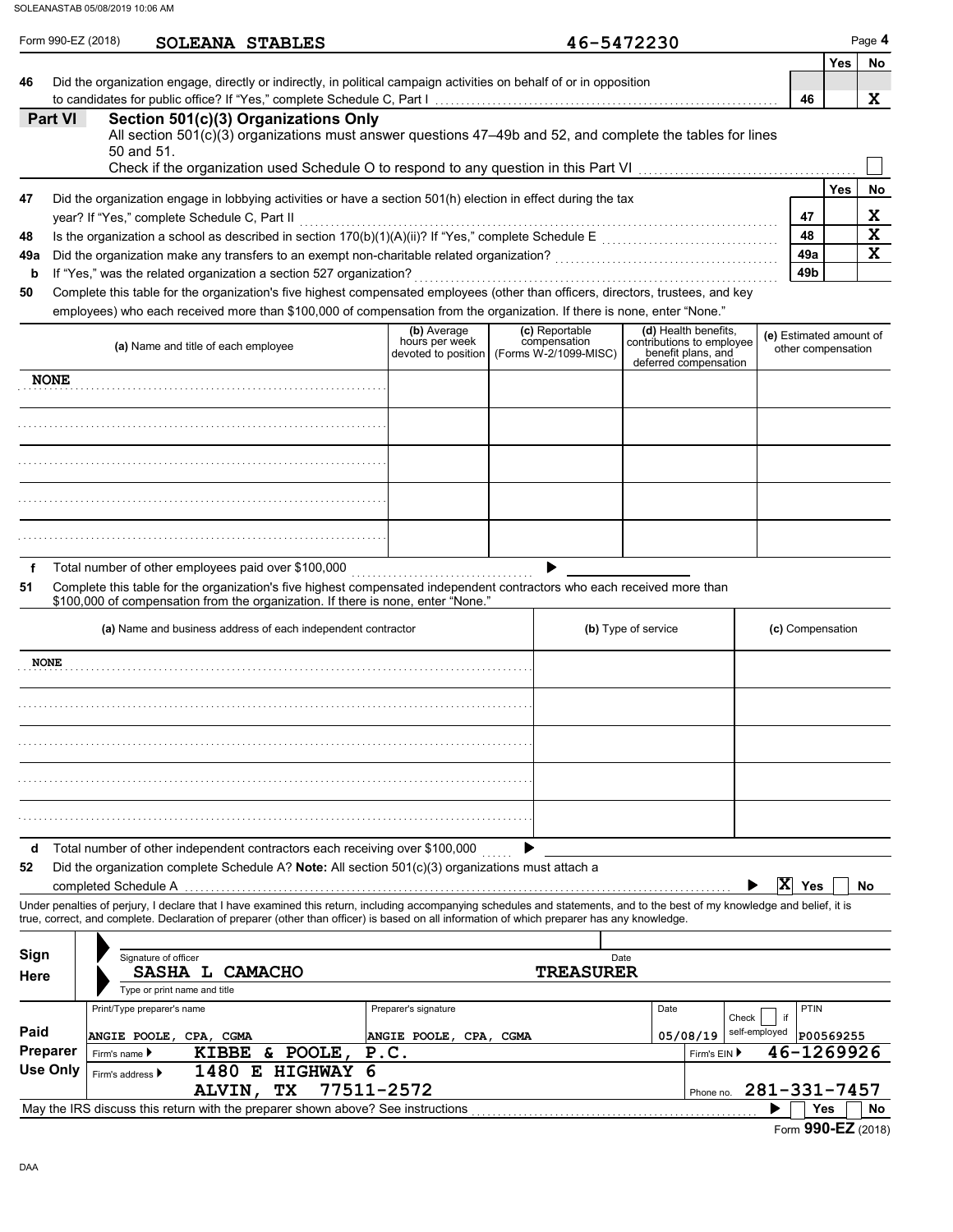|                 | SOLEANASTAB 05/08/2019 10:06 AM |                                                                                                                                                                                                                                                                                                                          |                     |                                                      |                                                         |                     |                                                                         |                         |                    |                         |
|-----------------|---------------------------------|--------------------------------------------------------------------------------------------------------------------------------------------------------------------------------------------------------------------------------------------------------------------------------------------------------------------------|---------------------|------------------------------------------------------|---------------------------------------------------------|---------------------|-------------------------------------------------------------------------|-------------------------|--------------------|-------------------------|
|                 | Form 990-EZ (2018)              | <b>SOLEANA STABLES</b>                                                                                                                                                                                                                                                                                                   |                     |                                                      | 46-5472230                                              |                     |                                                                         |                         | <b>Yes</b>         | Page 4<br>No            |
| 46              |                                 | Did the organization engage, directly or indirectly, in political campaign activities on behalf of or in opposition                                                                                                                                                                                                      |                     |                                                      |                                                         |                     |                                                                         |                         |                    |                         |
| Part VI         |                                 | Section 501(c)(3) Organizations Only                                                                                                                                                                                                                                                                                     |                     |                                                      |                                                         |                     |                                                                         | 46                      |                    | X                       |
|                 |                                 | All section $501(c)(3)$ organizations must answer questions 47-49b and 52, and complete the tables for lines<br>50 and 51.                                                                                                                                                                                               |                     |                                                      |                                                         |                     |                                                                         |                         |                    |                         |
|                 |                                 |                                                                                                                                                                                                                                                                                                                          |                     |                                                      |                                                         |                     |                                                                         |                         |                    |                         |
| 47              |                                 | Did the organization engage in lobbying activities or have a section 501(h) election in effect during the tax                                                                                                                                                                                                            |                     |                                                      |                                                         |                     |                                                                         |                         | <b>Yes</b>         | No                      |
|                 |                                 | year? If "Yes," complete Schedule C, Part II                                                                                                                                                                                                                                                                             |                     |                                                      |                                                         |                     |                                                                         | 47                      |                    | X                       |
| 48              |                                 |                                                                                                                                                                                                                                                                                                                          |                     |                                                      |                                                         |                     |                                                                         | 48                      |                    | $\overline{\mathbf{x}}$ |
| 49a             |                                 |                                                                                                                                                                                                                                                                                                                          |                     |                                                      |                                                         |                     |                                                                         | 49a<br>49 <sub>b</sub>  |                    | $\mathbf x$             |
| b<br>50         |                                 | If "Yes," was the related organization a section 527 organization?<br>Complete this table for the organization's five highest compensated employees (other than officers, directors, trustees, and key                                                                                                                   |                     |                                                      |                                                         |                     |                                                                         |                         |                    |                         |
|                 |                                 | employees) who each received more than \$100,000 of compensation from the organization. If there is none, enter "None."                                                                                                                                                                                                  |                     |                                                      |                                                         |                     |                                                                         |                         |                    |                         |
|                 |                                 | (a) Name and title of each employee                                                                                                                                                                                                                                                                                      |                     | (b) Average<br>hours per week<br>devoted to position | (c) Reportable<br>compensation<br>(Forms W-2/1099-MISC) |                     | (d) Health benefits,<br>contributions to employee<br>benefit plans, and | (e) Estimated amount of | other compensation |                         |
| <b>NONE</b>     |                                 |                                                                                                                                                                                                                                                                                                                          |                     |                                                      |                                                         |                     | deferred compensation                                                   |                         |                    |                         |
|                 |                                 |                                                                                                                                                                                                                                                                                                                          |                     |                                                      |                                                         |                     |                                                                         |                         |                    |                         |
|                 |                                 |                                                                                                                                                                                                                                                                                                                          |                     |                                                      |                                                         |                     |                                                                         |                         |                    |                         |
|                 |                                 |                                                                                                                                                                                                                                                                                                                          |                     |                                                      |                                                         |                     |                                                                         |                         |                    |                         |
|                 |                                 |                                                                                                                                                                                                                                                                                                                          |                     |                                                      |                                                         |                     |                                                                         |                         |                    |                         |
| f<br>51         |                                 | Total number of other employees paid over \$100,000<br>Complete this table for the organization's five highest compensated independent contractors who each received more than<br>\$100,000 of compensation from the organization. If there is none, enter "None."                                                       |                     |                                                      |                                                         |                     |                                                                         |                         |                    |                         |
|                 |                                 | (a) Name and business address of each independent contractor                                                                                                                                                                                                                                                             |                     |                                                      |                                                         | (b) Type of service |                                                                         |                         | (c) Compensation   |                         |
| <b>NONE</b>     |                                 |                                                                                                                                                                                                                                                                                                                          |                     |                                                      |                                                         |                     |                                                                         |                         |                    |                         |
|                 |                                 |                                                                                                                                                                                                                                                                                                                          |                     |                                                      |                                                         |                     |                                                                         |                         |                    |                         |
|                 |                                 |                                                                                                                                                                                                                                                                                                                          |                     |                                                      |                                                         |                     |                                                                         |                         |                    |                         |
|                 |                                 |                                                                                                                                                                                                                                                                                                                          |                     |                                                      |                                                         |                     |                                                                         |                         |                    |                         |
|                 |                                 |                                                                                                                                                                                                                                                                                                                          |                     |                                                      |                                                         |                     |                                                                         |                         |                    |                         |
| d<br>52         | completed Schedule A            | Total number of other independent contractors each receiving over \$100,000<br>Did the organization complete Schedule A? Note: All section $501(c)(3)$ organizations must attach a                                                                                                                                       |                     |                                                      |                                                         |                     |                                                                         | X Yes                   |                    | No                      |
|                 |                                 | Under penalties of perjury, I declare that I have examined this return, including accompanying schedules and statements, and to the best of my knowledge and belief, it is<br>true, correct, and complete. Declaration of preparer (other than officer) is based on all information of which preparer has any knowledge. |                     |                                                      |                                                         |                     |                                                                         |                         |                    |                         |
| Sign            |                                 | Signature of officer                                                                                                                                                                                                                                                                                                     |                     |                                                      | Date                                                    |                     |                                                                         |                         |                    |                         |
| Here            |                                 | SASHA L CAMACHO<br>Type or print name and title                                                                                                                                                                                                                                                                          |                     |                                                      | <b>TREASURER</b>                                        |                     |                                                                         |                         |                    |                         |
|                 |                                 | Print/Type preparer's name                                                                                                                                                                                                                                                                                               |                     | Preparer's signature                                 |                                                         | Date                |                                                                         |                         | PTIN               |                         |
| Paid            |                                 |                                                                                                                                                                                                                                                                                                                          |                     |                                                      |                                                         |                     | Check                                                                   | if<br>self-employed     |                    |                         |
| <b>Preparer</b> | Firm's name ▶                   | ANGIE POOLE, CPA, CGMA<br><b>KIBBE</b>                                                                                                                                                                                                                                                                                   | & POOLE,            | ANGIE POOLE, CPA, CGMA<br>P.C.                       |                                                         |                     | 05/08/19<br>Firm's EIN ▶                                                | 46-1269926              | P00569255          |                         |
| <b>Use Only</b> | Firm's address ▶                | 1480 E                                                                                                                                                                                                                                                                                                                   | <b>HIGHWAY</b><br>6 |                                                      |                                                         |                     |                                                                         |                         |                    |                         |
|                 |                                 | TX<br><b>ALVIN,</b>                                                                                                                                                                                                                                                                                                      | 77511-2572          |                                                      |                                                         |                     | Phone no.                                                               | 281-331-7457            |                    |                         |
|                 |                                 | May the IRS discuss this return with the preparer shown above? See instructions                                                                                                                                                                                                                                          |                     |                                                      |                                                         |                     |                                                                         |                         | Yes                | No.                     |

Form **990-EZ** (2018)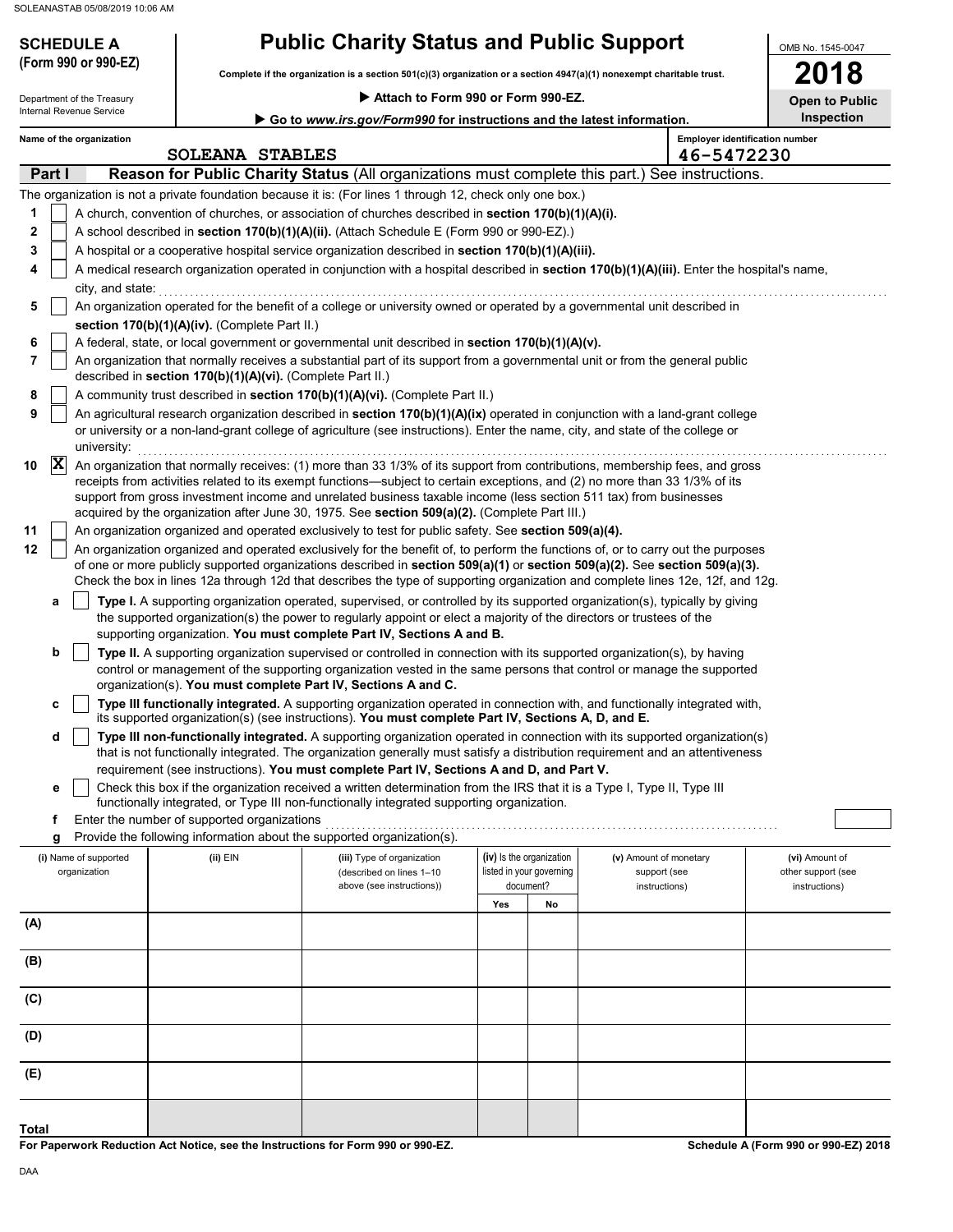## **SCHEDULE A Public Charity Status and Public Support**

**Complete if the organization is a section 501(c)(3) organization or a section 4947(a)(1) nonexempt charitable trust. (Form 990 or 990-EZ)**

OMB No. 1545-0047 **2018**

| Department of the Treasury |                |                          | Attach to Form 990 or Form 990-EZ. |                                                            |                                                                                                                                                                                                                                                                                                                                                                                                                                                                                  |     |                                       |                               | <b>Open to Public</b> |                                       |
|----------------------------|----------------|--------------------------|------------------------------------|------------------------------------------------------------|----------------------------------------------------------------------------------------------------------------------------------------------------------------------------------------------------------------------------------------------------------------------------------------------------------------------------------------------------------------------------------------------------------------------------------------------------------------------------------|-----|---------------------------------------|-------------------------------|-----------------------|---------------------------------------|
|                            |                | Internal Revenue Service |                                    |                                                            | Go to www.irs.gov/Form990 for instructions and the latest information.                                                                                                                                                                                                                                                                                                                                                                                                           |     |                                       | Inspection                    |                       |                                       |
|                            |                | Name of the organization |                                    | <b>SOLEANA STABLES</b>                                     |                                                                                                                                                                                                                                                                                                                                                                                                                                                                                  |     |                                       |                               | 46-5472230            | <b>Employer identification number</b> |
|                            | Part I         |                          |                                    |                                                            | Reason for Public Charity Status (All organizations must complete this part.) See instructions.                                                                                                                                                                                                                                                                                                                                                                                  |     |                                       |                               |                       |                                       |
|                            |                |                          |                                    |                                                            | The organization is not a private foundation because it is: (For lines 1 through 12, check only one box.)                                                                                                                                                                                                                                                                                                                                                                        |     |                                       |                               |                       |                                       |
| 1                          |                |                          |                                    |                                                            | A church, convention of churches, or association of churches described in section 170(b)(1)(A)(i).                                                                                                                                                                                                                                                                                                                                                                               |     |                                       |                               |                       |                                       |
| 2                          |                |                          |                                    |                                                            | A school described in section 170(b)(1)(A)(ii). (Attach Schedule E (Form 990 or 990-EZ).)                                                                                                                                                                                                                                                                                                                                                                                        |     |                                       |                               |                       |                                       |
| 3                          |                |                          |                                    |                                                            | A hospital or a cooperative hospital service organization described in section 170(b)(1)(A)(iii).                                                                                                                                                                                                                                                                                                                                                                                |     |                                       |                               |                       |                                       |
| 4                          |                |                          |                                    |                                                            | A medical research organization operated in conjunction with a hospital described in section 170(b)(1)(A)(iii). Enter the hospital's name,                                                                                                                                                                                                                                                                                                                                       |     |                                       |                               |                       |                                       |
|                            |                | city, and state:         |                                    |                                                            |                                                                                                                                                                                                                                                                                                                                                                                                                                                                                  |     |                                       |                               |                       |                                       |
| 5                          |                |                          |                                    |                                                            | An organization operated for the benefit of a college or university owned or operated by a governmental unit described in                                                                                                                                                                                                                                                                                                                                                        |     |                                       |                               |                       |                                       |
|                            |                |                          |                                    | section 170(b)(1)(A)(iv). (Complete Part II.)              |                                                                                                                                                                                                                                                                                                                                                                                                                                                                                  |     |                                       |                               |                       |                                       |
| 6                          |                |                          |                                    |                                                            | A federal, state, or local government or governmental unit described in section 170(b)(1)(A)(v).                                                                                                                                                                                                                                                                                                                                                                                 |     |                                       |                               |                       |                                       |
| 7                          |                |                          |                                    | described in section 170(b)(1)(A)(vi). (Complete Part II.) | An organization that normally receives a substantial part of its support from a governmental unit or from the general public                                                                                                                                                                                                                                                                                                                                                     |     |                                       |                               |                       |                                       |
| 8                          |                |                          |                                    |                                                            | A community trust described in <b>section 170(b)(1)(A)(vi).</b> (Complete Part II.)                                                                                                                                                                                                                                                                                                                                                                                              |     |                                       |                               |                       |                                       |
| 9                          |                |                          |                                    |                                                            | An agricultural research organization described in section 170(b)(1)(A)(ix) operated in conjunction with a land-grant college                                                                                                                                                                                                                                                                                                                                                    |     |                                       |                               |                       |                                       |
|                            |                | university:              |                                    |                                                            | or university or a non-land-grant college of agriculture (see instructions). Enter the name, city, and state of the college or                                                                                                                                                                                                                                                                                                                                                   |     |                                       |                               |                       |                                       |
| 10                         | $ \mathbf{X} $ |                          |                                    |                                                            | An organization that normally receives: (1) more than 33 1/3% of its support from contributions, membership fees, and gross<br>receipts from activities related to its exempt functions—subject to certain exceptions, and (2) no more than 33 1/3% of its<br>support from gross investment income and unrelated business taxable income (less section 511 tax) from businesses<br>acquired by the organization after June 30, 1975. See section 509(a)(2). (Complete Part III.) |     |                                       |                               |                       |                                       |
| 11                         |                |                          |                                    |                                                            | An organization organized and operated exclusively to test for public safety. See section 509(a)(4).                                                                                                                                                                                                                                                                                                                                                                             |     |                                       |                               |                       |                                       |
| 12                         |                |                          |                                    |                                                            | An organization organized and operated exclusively for the benefit of, to perform the functions of, or to carry out the purposes                                                                                                                                                                                                                                                                                                                                                 |     |                                       |                               |                       |                                       |
|                            |                |                          |                                    |                                                            | of one or more publicly supported organizations described in section 509(a)(1) or section 509(a)(2). See section 509(a)(3).                                                                                                                                                                                                                                                                                                                                                      |     |                                       |                               |                       |                                       |
|                            |                |                          |                                    |                                                            | Check the box in lines 12a through 12d that describes the type of supporting organization and complete lines 12e, 12f, and 12g.                                                                                                                                                                                                                                                                                                                                                  |     |                                       |                               |                       |                                       |
|                            | а              |                          |                                    |                                                            | Type I. A supporting organization operated, supervised, or controlled by its supported organization(s), typically by giving                                                                                                                                                                                                                                                                                                                                                      |     |                                       |                               |                       |                                       |
|                            |                |                          |                                    |                                                            | the supported organization(s) the power to regularly appoint or elect a majority of the directors or trustees of the<br>supporting organization. You must complete Part IV, Sections A and B.                                                                                                                                                                                                                                                                                    |     |                                       |                               |                       |                                       |
|                            | b              |                          |                                    |                                                            | Type II. A supporting organization supervised or controlled in connection with its supported organization(s), by having                                                                                                                                                                                                                                                                                                                                                          |     |                                       |                               |                       |                                       |
|                            |                |                          |                                    |                                                            | control or management of the supporting organization vested in the same persons that control or manage the supported                                                                                                                                                                                                                                                                                                                                                             |     |                                       |                               |                       |                                       |
|                            |                |                          |                                    |                                                            | organization(s). You must complete Part IV, Sections A and C.                                                                                                                                                                                                                                                                                                                                                                                                                    |     |                                       |                               |                       |                                       |
|                            | c              |                          |                                    |                                                            | Type III functionally integrated. A supporting organization operated in connection with, and functionally integrated with,<br>its supported organization(s) (see instructions). You must complete Part IV, Sections A, D, and E.                                                                                                                                                                                                                                                 |     |                                       |                               |                       |                                       |
|                            | d              |                          |                                    |                                                            | Type III non-functionally integrated. A supporting organization operated in connection with its supported organization(s)<br>that is not functionally integrated. The organization generally must satisfy a distribution requirement and an attentiveness                                                                                                                                                                                                                        |     |                                       |                               |                       |                                       |
|                            |                |                          |                                    |                                                            | requirement (see instructions). You must complete Part IV, Sections A and D, and Part V.<br>Check this box if the organization received a written determination from the IRS that it is a Type I, Type II, Type III                                                                                                                                                                                                                                                              |     |                                       |                               |                       |                                       |
|                            |                |                          |                                    |                                                            | functionally integrated, or Type III non-functionally integrated supporting organization.                                                                                                                                                                                                                                                                                                                                                                                        |     |                                       |                               |                       |                                       |
|                            | f              |                          |                                    | Enter the number of supported organizations                |                                                                                                                                                                                                                                                                                                                                                                                                                                                                                  |     |                                       |                               |                       |                                       |
|                            | g              |                          |                                    |                                                            | Provide the following information about the supported organization(s).                                                                                                                                                                                                                                                                                                                                                                                                           |     |                                       |                               |                       |                                       |
|                            |                | (i) Name of supported    |                                    | $(ii)$ EIN                                                 | (iii) Type of organization                                                                                                                                                                                                                                                                                                                                                                                                                                                       |     | (iv) Is the organization              | (v) Amount of monetary        |                       | (vi) Amount of                        |
|                            |                | organization             |                                    |                                                            | (described on lines 1-10<br>above (see instructions))                                                                                                                                                                                                                                                                                                                                                                                                                            |     | listed in your governing<br>document? | support (see<br>instructions) |                       | other support (see<br>instructions)   |
|                            |                |                          |                                    |                                                            |                                                                                                                                                                                                                                                                                                                                                                                                                                                                                  | Yes | No                                    |                               |                       |                                       |
| (A)                        |                |                          |                                    |                                                            |                                                                                                                                                                                                                                                                                                                                                                                                                                                                                  |     |                                       |                               |                       |                                       |
| (B)                        |                |                          |                                    |                                                            |                                                                                                                                                                                                                                                                                                                                                                                                                                                                                  |     |                                       |                               |                       |                                       |
|                            |                |                          |                                    |                                                            |                                                                                                                                                                                                                                                                                                                                                                                                                                                                                  |     |                                       |                               |                       |                                       |
| (C)                        |                |                          |                                    |                                                            |                                                                                                                                                                                                                                                                                                                                                                                                                                                                                  |     |                                       |                               |                       |                                       |
| (D)                        |                |                          |                                    |                                                            |                                                                                                                                                                                                                                                                                                                                                                                                                                                                                  |     |                                       |                               |                       |                                       |
| (E)                        |                |                          |                                    |                                                            |                                                                                                                                                                                                                                                                                                                                                                                                                                                                                  |     |                                       |                               |                       |                                       |
|                            |                |                          |                                    |                                                            |                                                                                                                                                                                                                                                                                                                                                                                                                                                                                  |     |                                       |                               |                       |                                       |
| Total                      |                |                          |                                    |                                                            |                                                                                                                                                                                                                                                                                                                                                                                                                                                                                  |     |                                       |                               |                       |                                       |

**For Paperwork Reduction Act Notice, see the Instructions for Form 990 or 990-EZ.**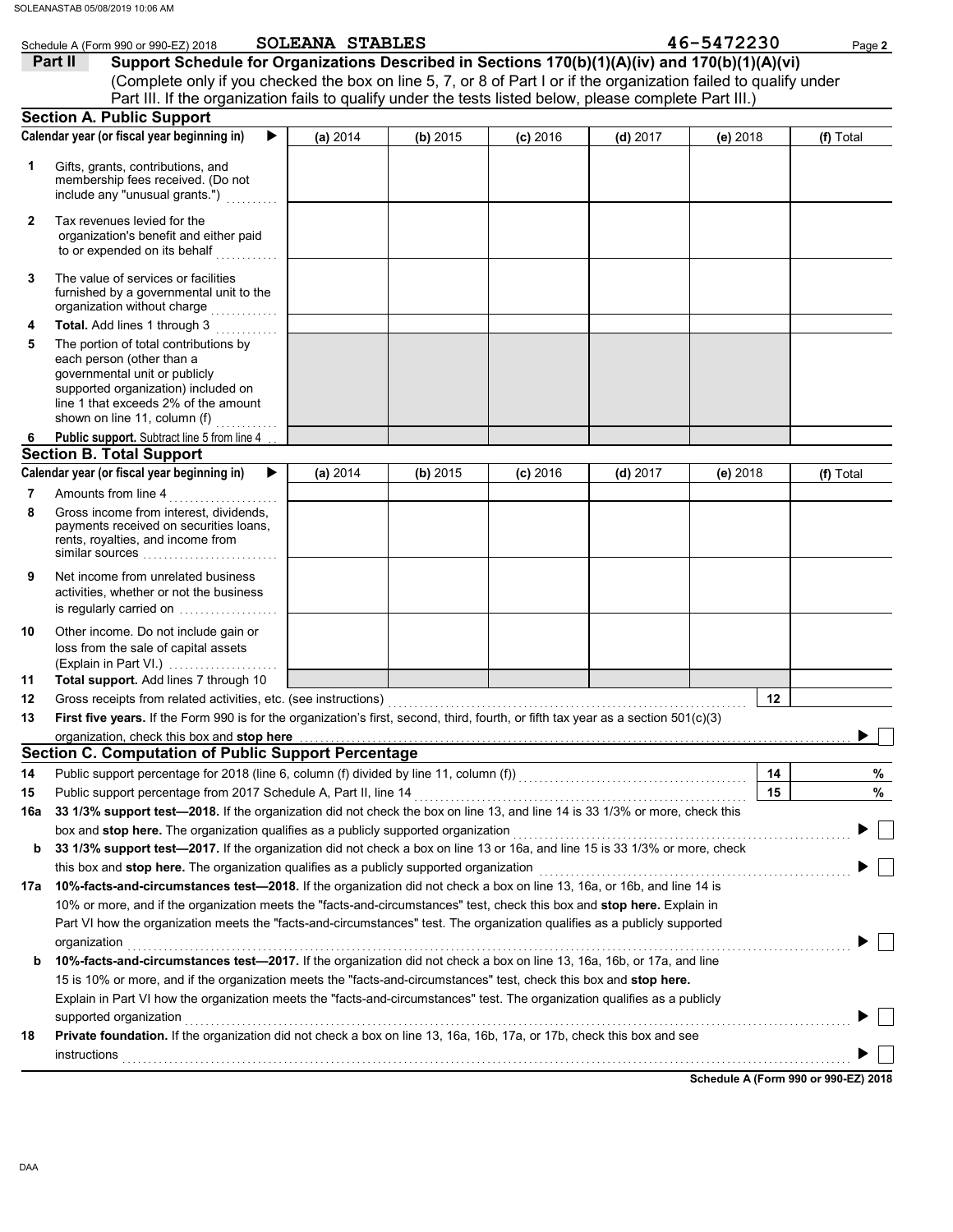|     | Schedule A (Form 990 or 990-EZ) 2018                                                                                                                                                                                         | SOLEANA STABLES |          |            |            | 46-5472230 | Page 2    |
|-----|------------------------------------------------------------------------------------------------------------------------------------------------------------------------------------------------------------------------------|-----------------|----------|------------|------------|------------|-----------|
|     | Support Schedule for Organizations Described in Sections 170(b)(1)(A)(iv) and 170(b)(1)(A)(vi)<br>Part II                                                                                                                    |                 |          |            |            |            |           |
|     | (Complete only if you checked the box on line 5, 7, or 8 of Part I or if the organization failed to qualify under<br>Part III. If the organization fails to qualify under the tests listed below, please complete Part III.) |                 |          |            |            |            |           |
|     | <b>Section A. Public Support</b>                                                                                                                                                                                             |                 |          |            |            |            |           |
|     | Calendar year (or fiscal year beginning in)                                                                                                                                                                                  | (a) 2014        | (b) 2015 | $(c)$ 2016 | $(d)$ 2017 | (e) 2018   | (f) Total |
|     |                                                                                                                                                                                                                              |                 |          |            |            |            |           |
| 1   | Gifts, grants, contributions, and<br>membership fees received. (Do not<br>include any "unusual grants.")                                                                                                                     |                 |          |            |            |            |           |
| 2   | Tax revenues levied for the<br>organization's benefit and either paid<br>to or expended on its behalf                                                                                                                        |                 |          |            |            |            |           |
| 3   | The value of services or facilities<br>furnished by a governmental unit to the<br>organization without charge                                                                                                                |                 |          |            |            |            |           |
| 4   | Total. Add lines 1 through 3                                                                                                                                                                                                 |                 |          |            |            |            |           |
| 5   | The portion of total contributions by<br>each person (other than a<br>governmental unit or publicly<br>supported organization) included on<br>line 1 that exceeds 2% of the amount<br>shown on line 11, column (f)           |                 |          |            |            |            |           |
| 6   | Public support. Subtract line 5 from line 4                                                                                                                                                                                  |                 |          |            |            |            |           |
|     | <b>Section B. Total Support</b>                                                                                                                                                                                              |                 |          |            |            |            |           |
|     | Calendar year (or fiscal year beginning in)<br>▶                                                                                                                                                                             | (a) 2014        | (b) 2015 | $(c)$ 2016 | $(d)$ 2017 | (e) 2018   | (f) Total |
| 7   | Amounts from line 4                                                                                                                                                                                                          |                 |          |            |            |            |           |
| 8   | Gross income from interest, dividends,<br>payments received on securities loans,<br>rents, royalties, and income from<br>similar sources                                                                                     |                 |          |            |            |            |           |
| 9   | Net income from unrelated business<br>activities, whether or not the business<br>is regularly carried on                                                                                                                     |                 |          |            |            |            |           |
| 10  | Other income. Do not include gain or<br>loss from the sale of capital assets<br>(Explain in Part VI.)                                                                                                                        |                 |          |            |            |            |           |
| 11  | Total support. Add lines 7 through 10                                                                                                                                                                                        |                 |          |            |            |            |           |
| 12  |                                                                                                                                                                                                                              |                 |          |            |            | 12         |           |
| 13  | First five years. If the Form 990 is for the organization's first, second, third, fourth, or fifth tax year as a section 501(c)(3)                                                                                           |                 |          |            |            |            |           |
|     | organization, check this box and stop here with the content of the content of Public Support Percentage Section C. Computation of Public Support Percentage                                                                  |                 |          |            |            |            |           |
|     |                                                                                                                                                                                                                              |                 |          |            |            |            |           |
| 14  | Public support percentage for 2018 (line 6, column (f) divided by line 11, column (f)) [[[[[[[[[[[[[[[[[[[[[[                                                                                                                |                 |          |            |            | 14         | %         |
| 15  |                                                                                                                                                                                                                              |                 |          |            |            | 15         | %         |
| 16a | 33 1/3% support test-2018. If the organization did not check the box on line 13, and line 14 is 33 1/3% or more, check this                                                                                                  |                 |          |            |            |            |           |
|     | box and stop here. The organization qualifies as a publicly supported organization                                                                                                                                           |                 |          |            |            |            |           |
| b   | 33 1/3% support test-2017. If the organization did not check a box on line 13 or 16a, and line 15 is 33 1/3% or more, check                                                                                                  |                 |          |            |            |            |           |
|     | this box and stop here. The organization qualifies as a publicly supported organization                                                                                                                                      |                 |          |            |            |            |           |
|     | 17a 10%-facts-and-circumstances test-2018. If the organization did not check a box on line 13, 16a, or 16b, and line 14 is                                                                                                   |                 |          |            |            |            |           |
|     | 10% or more, and if the organization meets the "facts-and-circumstances" test, check this box and stop here. Explain in                                                                                                      |                 |          |            |            |            |           |
|     | Part VI how the organization meets the "facts-and-circumstances" test. The organization qualifies as a publicly supported                                                                                                    |                 |          |            |            |            |           |
|     | organization                                                                                                                                                                                                                 |                 |          |            |            |            |           |
| b   | 10%-facts-and-circumstances test-2017. If the organization did not check a box on line 13, 16a, 16b, or 17a, and line                                                                                                        |                 |          |            |            |            |           |
|     | 15 is 10% or more, and if the organization meets the "facts-and-circumstances" test, check this box and stop here.                                                                                                           |                 |          |            |            |            |           |
|     | Explain in Part VI how the organization meets the "facts-and-circumstances" test. The organization qualifies as a publicly                                                                                                   |                 |          |            |            |            |           |
|     | supported organization                                                                                                                                                                                                       |                 |          |            |            |            |           |
| 18  | Private foundation. If the organization did not check a box on line 13, 16a, 16b, 17a, or 17b, check this box and see                                                                                                        |                 |          |            |            |            |           |
|     |                                                                                                                                                                                                                              |                 |          |            |            |            |           |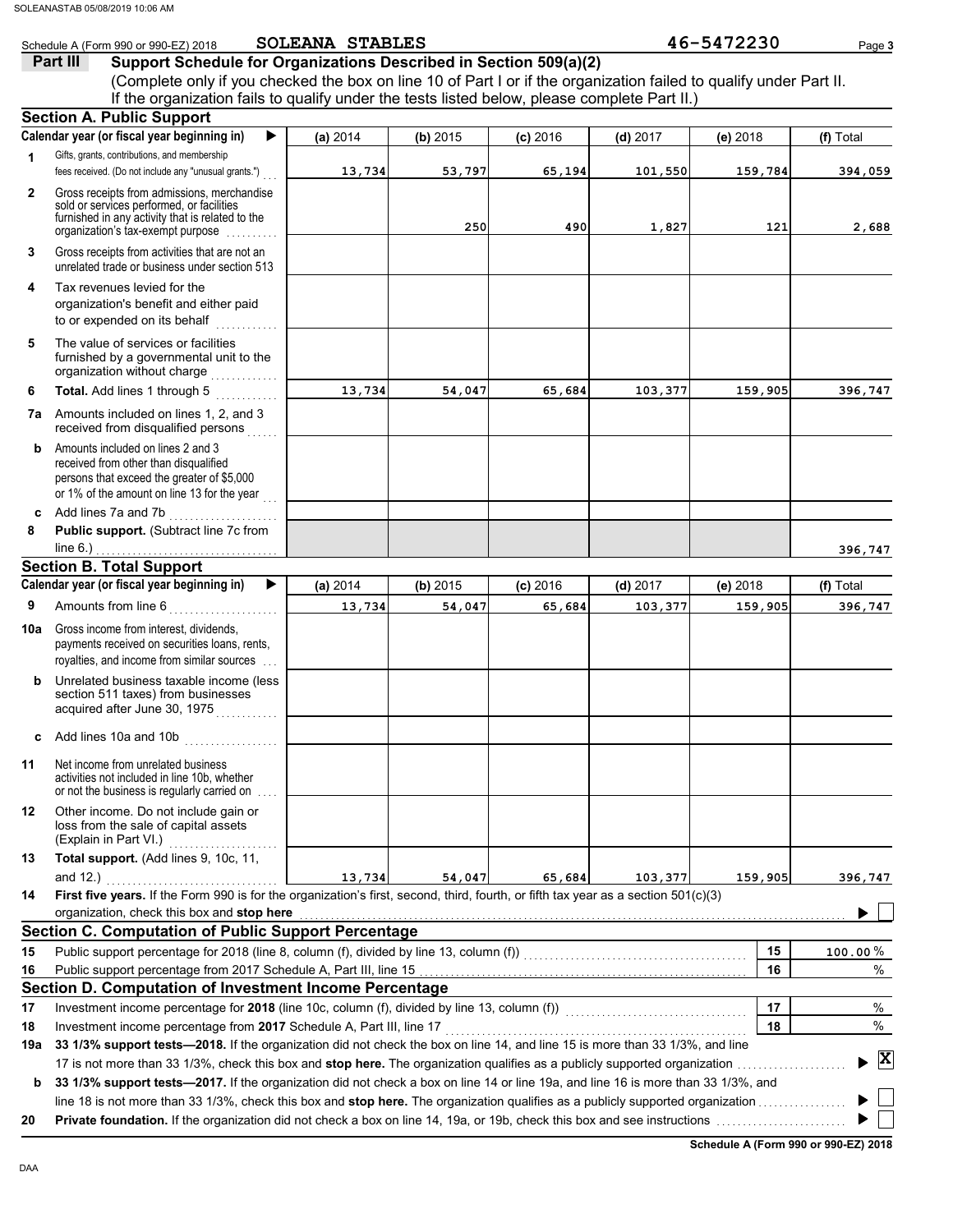|                | Schedule A (Form 990 or 990-EZ) 2018                                                                                                                                                                 | <b>SOLEANA STABLES</b> |          |            |            | 46-5472230 | Page 3                          |
|----------------|------------------------------------------------------------------------------------------------------------------------------------------------------------------------------------------------------|------------------------|----------|------------|------------|------------|---------------------------------|
|                | Part III<br>Support Schedule for Organizations Described in Section 509(a)(2)                                                                                                                        |                        |          |            |            |            |                                 |
|                | (Complete only if you checked the box on line 10 of Part I or if the organization failed to qualify under Part II.                                                                                   |                        |          |            |            |            |                                 |
|                | If the organization fails to qualify under the tests listed below, please complete Part II.)                                                                                                         |                        |          |            |            |            |                                 |
|                | <b>Section A. Public Support</b>                                                                                                                                                                     |                        |          |            |            |            |                                 |
|                | Calendar year (or fiscal year beginning in)<br>▶                                                                                                                                                     | (a) 2014               | (b) 2015 | $(c)$ 2016 | $(d)$ 2017 | (e) 2018   | (f) Total                       |
| $\mathbf{1}$   | Gifts, grants, contributions, and membership<br>fees received. (Do not include any "unusual grants.")                                                                                                | 13,734                 | 53,797   | 65,194     | 101,550    | 159,784    | 394,059                         |
| $\overline{2}$ | Gross receipts from admissions, merchandise                                                                                                                                                          |                        |          |            |            |            |                                 |
|                | sold or services performed, or facilities<br>furnished in any activity that is related to the<br>organization's tax-exempt purpose                                                                   |                        | 250      | 490        | 1,827      | 121        | 2,688                           |
| 3              | Gross receipts from activities that are not an<br>unrelated trade or business under section 513                                                                                                      |                        |          |            |            |            |                                 |
| 4              | Tax revenues levied for the<br>organization's benefit and either paid<br>to or expended on its behalf<br>.                                                                                           |                        |          |            |            |            |                                 |
| 5              | The value of services or facilities<br>furnished by a governmental unit to the<br>organization without charge                                                                                        |                        |          |            |            |            |                                 |
| 6              | Total. Add lines 1 through 5                                                                                                                                                                         | 13,734                 | 54,047   | 65,684     | 103,377    | 159,905    | 396,747                         |
| 7а             | Amounts included on lines 1, 2, and 3<br>received from disqualified persons                                                                                                                          |                        |          |            |            |            |                                 |
| b              | Amounts included on lines 2 and 3<br>received from other than disqualified<br>persons that exceed the greater of \$5,000<br>or 1% of the amount on line 13 for the year                              |                        |          |            |            |            |                                 |
| c              | Add lines 7a and 7b<br>.                                                                                                                                                                             |                        |          |            |            |            |                                 |
| 8              | Public support. (Subtract line 7c from                                                                                                                                                               |                        |          |            |            |            |                                 |
|                | line 6.)<br>. <u>.</u> .                                                                                                                                                                             |                        |          |            |            |            | 396,747                         |
|                | <b>Section B. Total Support</b>                                                                                                                                                                      |                        |          |            |            |            |                                 |
|                | Calendar year (or fiscal year beginning in)<br>▶                                                                                                                                                     | (a) 2014               | (b) 2015 | $(c)$ 2016 | $(d)$ 2017 | $(e)$ 2018 | (f) Total                       |
| 9              | Amounts from line 6<br>. <b>.</b> .                                                                                                                                                                  | 13,734                 | 54,047   | 65,684     | 103,377    | 159,905    | 396,747                         |
| 10a            | Gross income from interest, dividends,<br>payments received on securities loans, rents,<br>royalties, and income from similar sources                                                                |                        |          |            |            |            |                                 |
| b              | Unrelated business taxable income (less<br>section 511 taxes) from businesses<br>acquired after June 30, 1975                                                                                        |                        |          |            |            |            |                                 |
| c              | Add lines 10a and 10b $\ldots$                                                                                                                                                                       |                        |          |            |            |            |                                 |
| 11             | Net income from unrelated business<br>activities not included in line 10b, whether<br>or not the business is regularly carried on                                                                    |                        |          |            |            |            |                                 |
| 12             | Other income. Do not include gain or<br>loss from the sale of capital assets<br>(Explain in Part VI.)                                                                                                |                        |          |            |            |            |                                 |
| 13             | Total support. (Add lines 9, 10c, 11,                                                                                                                                                                |                        |          |            |            |            |                                 |
|                | and 12.)                                                                                                                                                                                             | 13,734                 | 54,047   | 65,684     | 103,377    | 159,905    | 396,747                         |
| 14             | First five years. If the Form 990 is for the organization's first, second, third, fourth, or fifth tax year as a section 501(c)(3)                                                                   |                        |          |            |            |            |                                 |
|                | organization, check this box and stop here                                                                                                                                                           |                        |          |            |            |            |                                 |
|                | <b>Section C. Computation of Public Support Percentage</b>                                                                                                                                           |                        |          |            |            |            |                                 |
| 15             |                                                                                                                                                                                                      |                        |          |            |            | 15         | $100.00\,\%$                    |
| 16             |                                                                                                                                                                                                      |                        |          |            |            | 16         | %                               |
|                | Section D. Computation of Investment Income Percentage                                                                                                                                               |                        |          |            |            |            |                                 |
| 17             | Investment income percentage for 2018 (line 10c, column (f), divided by line 13, column (f)) [[[[[[[[[[[[[[[[                                                                                        |                        |          |            |            | 17         | %                               |
| 18<br>19а      | Investment income percentage from 2017 Schedule A, Part III, line 17<br>33 1/3% support tests-2018. If the organization did not check the box on line 14, and line 15 is more than 33 1/3%, and line |                        |          |            |            | 18         | %                               |
|                |                                                                                                                                                                                                      |                        |          |            |            |            | $\blacktriangleright$ $\vert$ X |
| b              | 33 1/3% support tests-2017. If the organization did not check a box on line 14 or line 19a, and line 16 is more than 33 1/3%, and                                                                    |                        |          |            |            |            |                                 |
|                | line 18 is not more than 33 1/3%, check this box and stop here. The organization qualifies as a publicly supported organization                                                                      |                        |          |            |            |            |                                 |
| 20             |                                                                                                                                                                                                      |                        |          |            |            |            |                                 |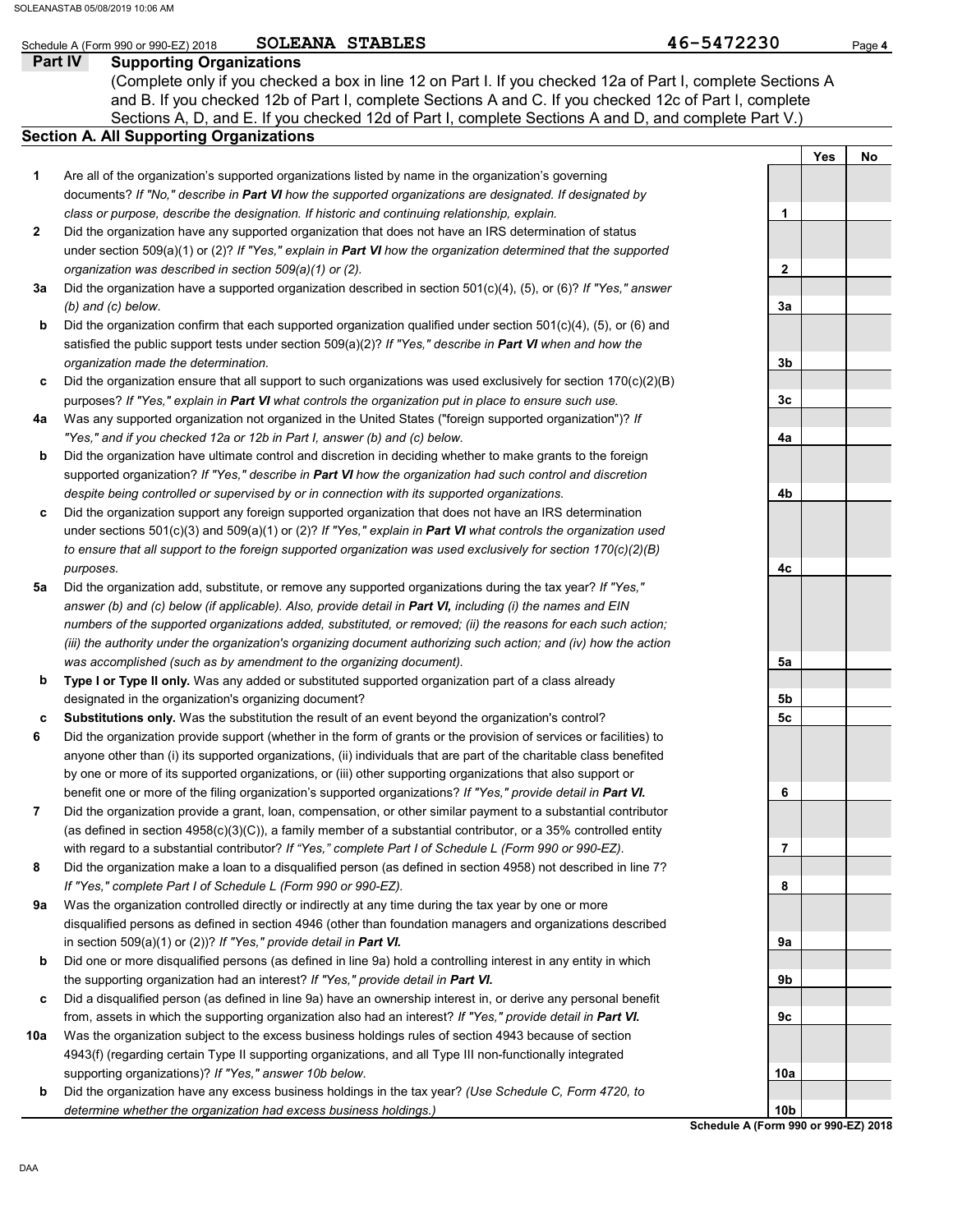## Schedule A (Form 990 or 990-EZ) 2018 **SOLEANA STABLES** Page 4 and the set of the set of the set of the set of the set of the set of the set of the set of the set of the set of the set of the set of the set of the set of th SOLEANA STABLES

## **Part IV Supporting Organizations**

Sections A, D, and E. If you checked 12d of Part I, complete Sections A and D, and complete Part V.) **Section A. All Supporting Organizations** (Complete only if you checked a box in line 12 on Part I. If you checked 12a of Part I, complete Sections A and B. If you checked 12b of Part I, complete Sections A and C. If you checked 12c of Part I, complete

| Are all of the organization's supported organizations listed by name in the organization's governing     |
|----------------------------------------------------------------------------------------------------------|
| documents? If "No." describe in Part VI how the supported organizations are designated. If designated by |
| class or purpose, describe the designation. If historic and continuing relationship, explain.            |

- Did the organization have any supported organization that does not have an IRS determination of status under section 509(a)(1) or (2)? *If "Yes," explain in Part VI how the organization determined that the supported organization was described in section 509(a)(1) or (2).* **2**
- **3a** Did the organization have a supported organization described in section 501(c)(4), (5), or (6)? *If "Yes," answer (b) and (c) below.*
- **b** Did the organization confirm that each supported organization qualified under section 501(c)(4), (5), or (6) and satisfied the public support tests under section 509(a)(2)? *If "Yes," describe in Part VI when and how the organization made the determination.*
- **c** Did the organization ensure that all support to such organizations was used exclusively for section 170(c)(2)(B) purposes? *If "Yes," explain in Part VI what controls the organization put in place to ensure such use.*
- **4a** Was any supported organization not organized in the United States ("foreign supported organization")? *If "Yes," and if you checked 12a or 12b in Part I, answer (b) and (c) below.*
- **b** Did the organization have ultimate control and discretion in deciding whether to make grants to the foreign supported organization? *If "Yes," describe in Part VI how the organization had such control and discretion despite being controlled or supervised by or in connection with its supported organizations.*
- **c** Did the organization support any foreign supported organization that does not have an IRS determination under sections 501(c)(3) and 509(a)(1) or (2)? *If "Yes," explain in Part VI what controls the organization used to ensure that all support to the foreign supported organization was used exclusively for section 170(c)(2)(B) purposes.*
- **5a** Did the organization add, substitute, or remove any supported organizations during the tax year? *If "Yes," answer (b) and (c) below (if applicable). Also, provide detail in Part VI, including (i) the names and EIN numbers of the supported organizations added, substituted, or removed; (ii) the reasons for each such action; (iii) the authority under the organization's organizing document authorizing such action; and (iv) how the action was accomplished (such as by amendment to the organizing document).*
- **b Type I or Type II only.** Was any added or substituted supported organization part of a class already designated in the organization's organizing document?
- **c Substitutions only.** Was the substitution the result of an event beyond the organization's control?
- **6** Did the organization provide support (whether in the form of grants or the provision of services or facilities) to anyone other than (i) its supported organizations, (ii) individuals that are part of the charitable class benefited by one or more of its supported organizations, or (iii) other supporting organizations that also support or benefit one or more of the filing organization's supported organizations? *If "Yes," provide detail in Part VI.*
- **7** Did the organization provide a grant, loan, compensation, or other similar payment to a substantial contributor (as defined in section 4958(c)(3)(C)), a family member of a substantial contributor, or a 35% controlled entity with regard to a substantial contributor? *If "Yes," complete Part I of Schedule L (Form 990 or 990-EZ).*
- **8** Did the organization make a loan to a disqualified person (as defined in section 4958) not described in line 7? *If "Yes," complete Part I of Schedule L (Form 990 or 990-EZ).*
- **9a** Was the organization controlled directly or indirectly at any time during the tax year by one or more disqualified persons as defined in section 4946 (other than foundation managers and organizations described in section 509(a)(1) or (2))? *If "Yes," provide detail in Part VI.*
- **b** Did one or more disqualified persons (as defined in line 9a) hold a controlling interest in any entity in which the supporting organization had an interest? *If "Yes," provide detail in Part VI.*
- **c** Did a disqualified person (as defined in line 9a) have an ownership interest in, or derive any personal benefit from, assets in which the supporting organization also had an interest? *If "Yes," provide detail in Part VI.*
- **10a** Was the organization subject to the excess business holdings rules of section 4943 because of section 4943(f) (regarding certain Type II supporting organizations, and all Type III non-functionally integrated supporting organizations)? *If "Yes," answer 10b below.*
	- **b** Did the organization have any excess business holdings in the tax year? *(Use Schedule C, Form 4720, to determine whether the organization had excess business holdings.)*

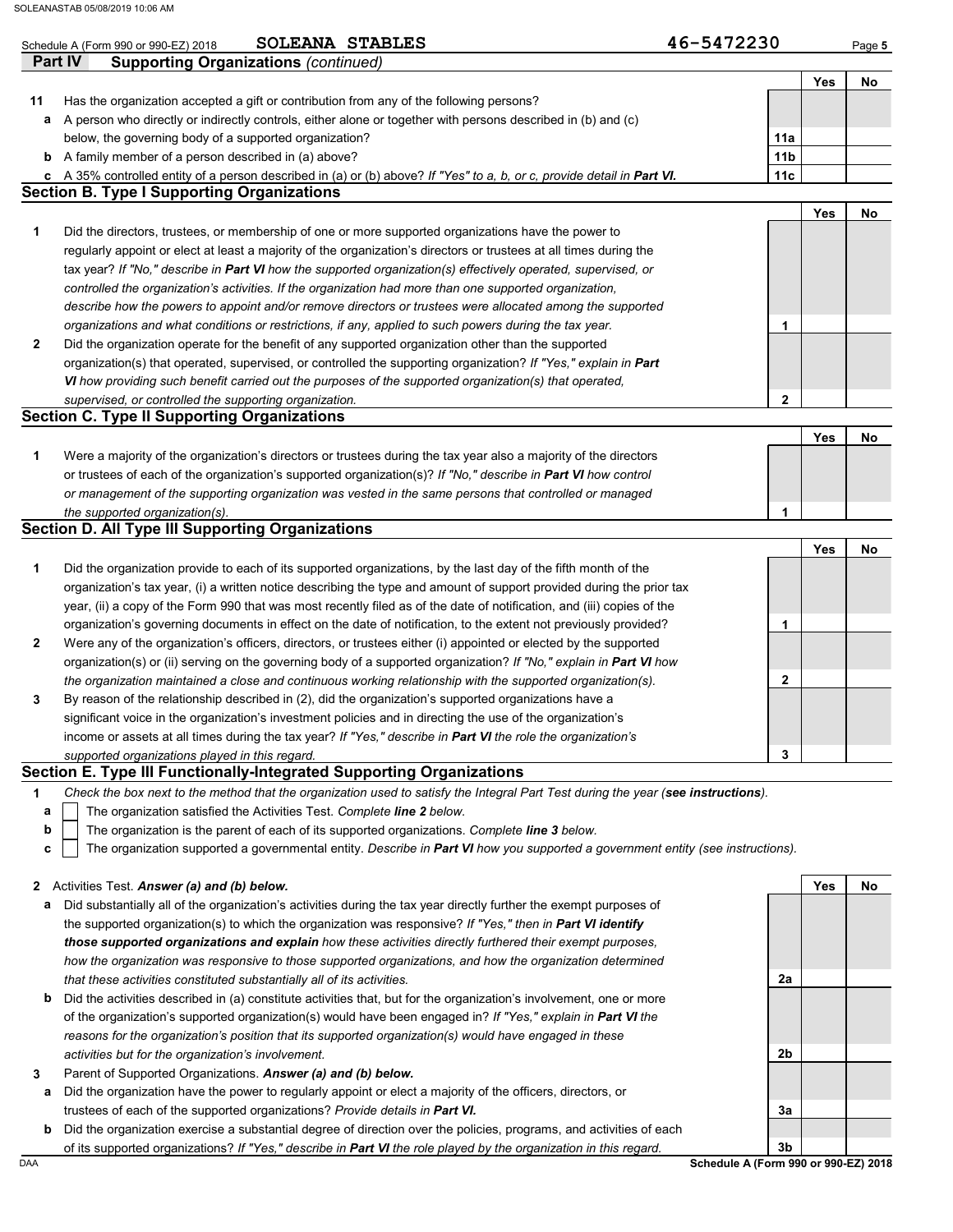|         | 46-5472230<br>SOLEANA STABLES<br>Schedule A (Form 990 or 990-EZ) 2018                                                                                                                                               |                 |     | Page 5 |
|---------|---------------------------------------------------------------------------------------------------------------------------------------------------------------------------------------------------------------------|-----------------|-----|--------|
| Part IV | <b>Supporting Organizations (continued)</b>                                                                                                                                                                         |                 |     |        |
|         |                                                                                                                                                                                                                     |                 | Yes | No     |
| 11      | Has the organization accepted a gift or contribution from any of the following persons?                                                                                                                             |                 |     |        |
| a       | A person who directly or indirectly controls, either alone or together with persons described in (b) and (c)                                                                                                        |                 |     |        |
|         | below, the governing body of a supported organization?                                                                                                                                                              | 11a             |     |        |
| b       | A family member of a person described in (a) above?                                                                                                                                                                 | 11 <sub>b</sub> |     |        |
| c       | A 35% controlled entity of a person described in (a) or (b) above? If "Yes" to a, b, or c, provide detail in Part VI.                                                                                               | 11c             |     |        |
|         | <b>Section B. Type I Supporting Organizations</b>                                                                                                                                                                   |                 |     |        |
|         |                                                                                                                                                                                                                     |                 | Yes | No     |
| 1       | Did the directors, trustees, or membership of one or more supported organizations have the power to                                                                                                                 |                 |     |        |
|         | regularly appoint or elect at least a majority of the organization's directors or trustees at all times during the                                                                                                  |                 |     |        |
|         | tax year? If "No," describe in Part VI how the supported organization(s) effectively operated, supervised, or                                                                                                       |                 |     |        |
|         | controlled the organization's activities. If the organization had more than one supported organization,                                                                                                             |                 |     |        |
|         | describe how the powers to appoint and/or remove directors or trustees were allocated among the supported<br>organizations and what conditions or restrictions, if any, applied to such powers during the tax year. |                 |     |        |
| 2       | Did the organization operate for the benefit of any supported organization other than the supported                                                                                                                 | 1               |     |        |
|         | organization(s) that operated, supervised, or controlled the supporting organization? If "Yes," explain in Part                                                                                                     |                 |     |        |
|         | VI how providing such benefit carried out the purposes of the supported organization(s) that operated,                                                                                                              |                 |     |        |
|         | supervised, or controlled the supporting organization.                                                                                                                                                              | $\mathbf 2$     |     |        |
|         | <b>Section C. Type II Supporting Organizations</b>                                                                                                                                                                  |                 |     |        |
|         |                                                                                                                                                                                                                     |                 | Yes | No     |
| 1       | Were a majority of the organization's directors or trustees during the tax year also a majority of the directors                                                                                                    |                 |     |        |
|         | or trustees of each of the organization's supported organization(s)? If "No," describe in Part VI how control                                                                                                       |                 |     |        |
|         | or management of the supporting organization was vested in the same persons that controlled or managed                                                                                                              |                 |     |        |
|         | the supported organization(s).                                                                                                                                                                                      | 1               |     |        |
|         | <b>Section D. All Type III Supporting Organizations</b>                                                                                                                                                             |                 |     |        |
|         |                                                                                                                                                                                                                     |                 | Yes | No     |
| 1       | Did the organization provide to each of its supported organizations, by the last day of the fifth month of the                                                                                                      |                 |     |        |
|         | organization's tax year, (i) a written notice describing the type and amount of support provided during the prior tax                                                                                               |                 |     |        |
|         | year, (ii) a copy of the Form 990 that was most recently filed as of the date of notification, and (iii) copies of the                                                                                              |                 |     |        |
|         | organization's governing documents in effect on the date of notification, to the extent not previously provided?                                                                                                    | 1               |     |        |
| 2       | Were any of the organization's officers, directors, or trustees either (i) appointed or elected by the supported                                                                                                    |                 |     |        |
|         | organization(s) or (ii) serving on the governing body of a supported organization? If "No," explain in Part VI how                                                                                                  |                 |     |        |
|         | the organization maintained a close and continuous working relationship with the supported organization(s).                                                                                                         | 2               |     |        |
| 3       | By reason of the relationship described in (2), did the organization's supported organizations have a                                                                                                               |                 |     |        |
|         | significant voice in the organization's investment policies and in directing the use of the organization's                                                                                                          |                 |     |        |
|         | income or assets at all times during the tax year? If "Yes," describe in Part VI the role the organization's                                                                                                        |                 |     |        |
|         | supported organizations played in this regard.<br>Section E. Type III Functionally-Integrated Supporting Organizations                                                                                              | 3               |     |        |
| 1       | Check the box next to the method that the organization used to satisfy the Integral Part Test during the year (see instructions).                                                                                   |                 |     |        |
| a       | The organization satisfied the Activities Test. Complete line 2 below.                                                                                                                                              |                 |     |        |
| b       | The organization is the parent of each of its supported organizations. Complete line 3 below.                                                                                                                       |                 |     |        |
| С       | The organization supported a governmental entity. Describe in Part VI how you supported a government entity (see instructions).                                                                                     |                 |     |        |
|         |                                                                                                                                                                                                                     |                 |     |        |
| 2       | Activities Test. Answer (a) and (b) below.                                                                                                                                                                          |                 | Yes | No.    |
| а       | Did substantially all of the organization's activities during the tax year directly further the exempt purposes of                                                                                                  |                 |     |        |
|         | the supported organization(s) to which the organization was responsive? If "Yes," then in Part VI identify                                                                                                          |                 |     |        |
|         | those supported organizations and explain how these activities directly furthered their exempt purposes,                                                                                                            |                 |     |        |
|         | how the organization was responsive to those supported organizations, and how the organization determined                                                                                                           |                 |     |        |
|         | that these activities constituted substantially all of its activities.                                                                                                                                              | 2a              |     |        |
| b       | Did the activities described in (a) constitute activities that, but for the organization's involvement, one or more                                                                                                 |                 |     |        |
|         | of the organization's supported organization(s) would have been engaged in? If "Yes," explain in Part VI the                                                                                                        |                 |     |        |
|         | reasons for the organization's position that its supported organization(s) would have engaged in these                                                                                                              |                 |     |        |

- **3** *activities but for the organization's involvement.* Parent of Supported Organizations. *Answer (a) and (b) below.*
- **a** Did the organization have the power to regularly appoint or elect a majority of the officers, directors, or trustees of each of the supported organizations? *Provide details in Part VI.*
- **b** Did the organization exercise a substantial degree of direction over the policies, programs, and activities of each of its supported organizations? *If "Yes," describe in Part VI the role played by the organization in this regard.*

**2b 3a 3b**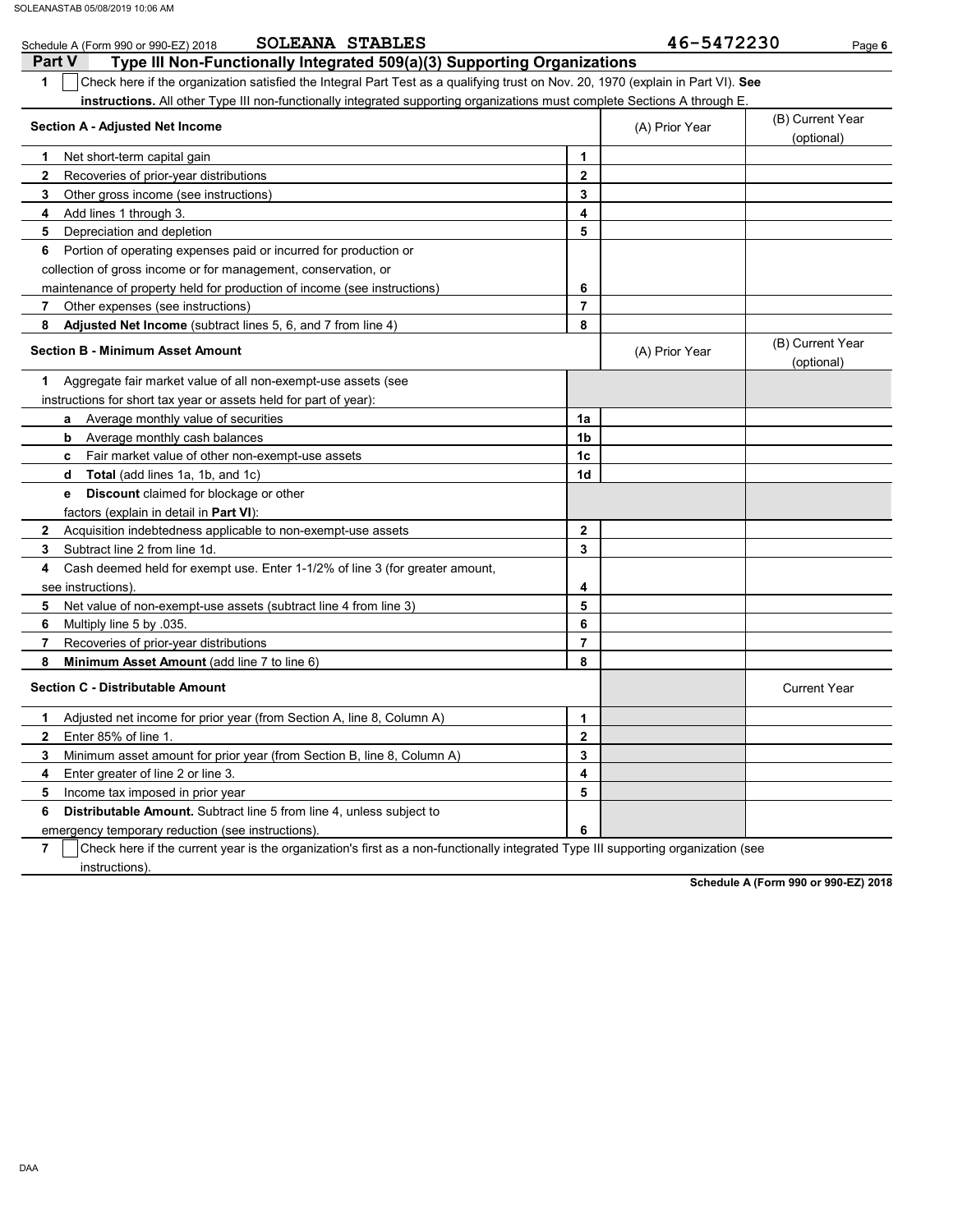| <b>SOLEANA STABLES</b><br>Schedule A (Form 990 or 990-EZ) 2018                                                                         |                | 46-5472230     | Page 6                         |
|----------------------------------------------------------------------------------------------------------------------------------------|----------------|----------------|--------------------------------|
| <b>Part V</b><br>Type III Non-Functionally Integrated 509(a)(3) Supporting Organizations                                               |                |                |                                |
| 1<br>Check here if the organization satisfied the Integral Part Test as a qualifying trust on Nov. 20, 1970 (explain in Part VI). See  |                |                |                                |
| instructions. All other Type III non-functionally integrated supporting organizations must complete Sections A through E.              |                |                |                                |
| Section A - Adjusted Net Income                                                                                                        |                | (A) Prior Year | (B) Current Year<br>(optional) |
| Net short-term capital gain<br>1                                                                                                       | 1              |                |                                |
| Recoveries of prior-year distributions<br>2                                                                                            | $\mathbf{2}$   |                |                                |
| Other gross income (see instructions)<br>3                                                                                             | 3              |                |                                |
| Add lines 1 through 3.<br>4                                                                                                            | 4              |                |                                |
| 5<br>Depreciation and depletion                                                                                                        | 5              |                |                                |
| Portion of operating expenses paid or incurred for production or<br>6                                                                  |                |                |                                |
| collection of gross income or for management, conservation, or                                                                         |                |                |                                |
| maintenance of property held for production of income (see instructions)                                                               | 6              |                |                                |
| Other expenses (see instructions)<br>7                                                                                                 | $\overline{7}$ |                |                                |
| Adjusted Net Income (subtract lines 5, 6, and 7 from line 4)<br>8                                                                      | 8              |                |                                |
| <b>Section B - Minimum Asset Amount</b>                                                                                                |                | (A) Prior Year | (B) Current Year<br>(optional) |
| Aggregate fair market value of all non-exempt-use assets (see<br>1                                                                     |                |                |                                |
| instructions for short tax year or assets held for part of year):                                                                      |                |                |                                |
| Average monthly value of securities<br>a                                                                                               | 1a             |                |                                |
| Average monthly cash balances<br>b                                                                                                     | 1b             |                |                                |
| Fair market value of other non-exempt-use assets<br>c                                                                                  | 1c             |                |                                |
| Total (add lines 1a, 1b, and 1c)<br>d                                                                                                  | 1d             |                |                                |
| <b>Discount</b> claimed for blockage or other<br>е                                                                                     |                |                |                                |
| factors (explain in detail in Part VI):                                                                                                |                |                |                                |
| Acquisition indebtedness applicable to non-exempt-use assets<br>2                                                                      | $\mathbf{2}$   |                |                                |
| Subtract line 2 from line 1d.<br>3                                                                                                     | 3              |                |                                |
| Cash deemed held for exempt use. Enter 1-1/2% of line 3 (for greater amount,<br>4                                                      |                |                |                                |
| see instructions)                                                                                                                      | 4              |                |                                |
| Net value of non-exempt-use assets (subtract line 4 from line 3)<br>5                                                                  | 5              |                |                                |
| 6<br>Multiply line 5 by .035.                                                                                                          | 6              |                |                                |
| Recoveries of prior-year distributions<br>7                                                                                            | $\overline{7}$ |                |                                |
| Minimum Asset Amount (add line 7 to line 6)<br>8                                                                                       | 8              |                |                                |
| <b>Section C - Distributable Amount</b>                                                                                                |                |                | <b>Current Year</b>            |
| Adjusted net income for prior year (from Section A, line 8, Column A)<br>1                                                             | 1              |                |                                |
| Enter 85% of line 1.<br>2                                                                                                              | 2              |                |                                |
| Minimum asset amount for prior year (from Section B, line 8, Column A)<br>3                                                            | 3              |                |                                |
| 4<br>Enter greater of line 2 or line 3.                                                                                                | 4              |                |                                |
| 5<br>Income tax imposed in prior year                                                                                                  | 5              |                |                                |
| Distributable Amount. Subtract line 5 from line 4, unless subject to<br>6                                                              |                |                |                                |
| emergency temporary reduction (see instructions)                                                                                       | 6              |                |                                |
| Check here if the current year is the organization's first as a non-functionally integrated Type III supporting organization (see<br>7 |                |                |                                |

 $\overline{\phantom{a}}$  instructions).

**Schedule A (Form 990 or 990-EZ) 2018**

DAA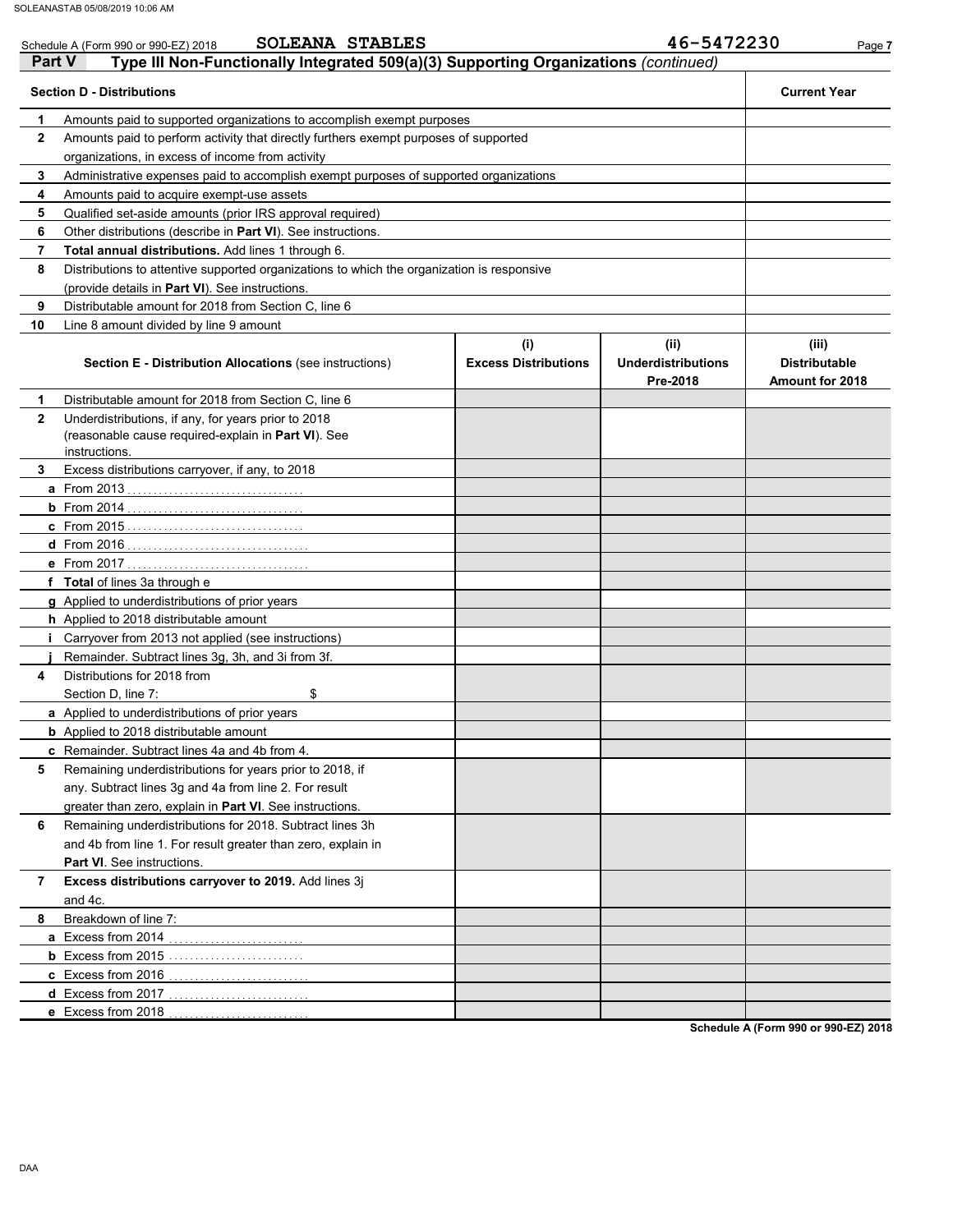|               | <b>SOLEANA STABLES</b><br>Schedule A (Form 990 or 990-EZ) 2018                                             |                             | 46-5472230                            | Page 7                                  |
|---------------|------------------------------------------------------------------------------------------------------------|-----------------------------|---------------------------------------|-----------------------------------------|
| <b>Part V</b> | Type III Non-Functionally Integrated 509(a)(3) Supporting Organizations (continued)                        |                             |                                       |                                         |
|               | <b>Section D - Distributions</b>                                                                           |                             |                                       | <b>Current Year</b>                     |
| 1             | Amounts paid to supported organizations to accomplish exempt purposes                                      |                             |                                       |                                         |
| $\mathbf{2}$  | Amounts paid to perform activity that directly furthers exempt purposes of supported                       |                             |                                       |                                         |
|               | organizations, in excess of income from activity                                                           |                             |                                       |                                         |
| 3             | Administrative expenses paid to accomplish exempt purposes of supported organizations                      |                             |                                       |                                         |
| 4             | Amounts paid to acquire exempt-use assets                                                                  |                             |                                       |                                         |
| 5             | Qualified set-aside amounts (prior IRS approval required)                                                  |                             |                                       |                                         |
| 6             | Other distributions (describe in <b>Part VI</b> ). See instructions.                                       |                             |                                       |                                         |
| 7             | Total annual distributions. Add lines 1 through 6.                                                         |                             |                                       |                                         |
| 8             | Distributions to attentive supported organizations to which the organization is responsive                 |                             |                                       |                                         |
|               | (provide details in Part VI). See instructions.                                                            |                             |                                       |                                         |
| 9             | Distributable amount for 2018 from Section C, line 6                                                       |                             |                                       |                                         |
| 10            | Line 8 amount divided by line 9 amount                                                                     |                             |                                       |                                         |
|               |                                                                                                            | (i)                         | (ii)                                  | (iii)                                   |
|               | <b>Section E - Distribution Allocations (see instructions)</b>                                             | <b>Excess Distributions</b> | <b>Underdistributions</b><br>Pre-2018 | <b>Distributable</b><br>Amount for 2018 |
| 1             | Distributable amount for 2018 from Section C. line 6                                                       |                             |                                       |                                         |
| $\mathbf{2}$  | Underdistributions, if any, for years prior to 2018<br>(reasonable cause required-explain in Part VI). See |                             |                                       |                                         |
|               | instructions.                                                                                              |                             |                                       |                                         |
| 3             | Excess distributions carryover, if any, to 2018                                                            |                             |                                       |                                         |
|               |                                                                                                            |                             |                                       |                                         |
|               |                                                                                                            |                             |                                       |                                         |
|               |                                                                                                            |                             |                                       |                                         |
|               |                                                                                                            |                             |                                       |                                         |
|               |                                                                                                            |                             |                                       |                                         |
|               | f Total of lines 3a through e                                                                              |                             |                                       |                                         |
|               | <b>g</b> Applied to underdistributions of prior years                                                      |                             |                                       |                                         |
|               | h Applied to 2018 distributable amount                                                                     |                             |                                       |                                         |
|               | <i>i</i> Carryover from 2013 not applied (see instructions)                                                |                             |                                       |                                         |
| 4             | Remainder. Subtract lines 3g, 3h, and 3i from 3f.<br>Distributions for 2018 from                           |                             |                                       |                                         |
|               | \$<br>Section D, line 7:                                                                                   |                             |                                       |                                         |
|               | a Applied to underdistributions of prior years                                                             |                             |                                       |                                         |
|               | <b>b</b> Applied to 2018 distributable amount                                                              |                             |                                       |                                         |
|               | <b>c</b> Remainder. Subtract lines 4a and 4b from 4.                                                       |                             |                                       |                                         |
| 5             | Remaining underdistributions for years prior to 2018, if                                                   |                             |                                       |                                         |
|               | any. Subtract lines 3g and 4a from line 2. For result                                                      |                             |                                       |                                         |
|               | greater than zero, explain in Part VI. See instructions.                                                   |                             |                                       |                                         |
| 6             | Remaining underdistributions for 2018. Subtract lines 3h                                                   |                             |                                       |                                         |
|               |                                                                                                            |                             |                                       |                                         |
|               | and 4b from line 1. For result greater than zero, explain in                                               |                             |                                       |                                         |
|               | Part VI. See instructions.                                                                                 |                             |                                       |                                         |
| 7             | Excess distributions carryover to 2019. Add lines 3j                                                       |                             |                                       |                                         |
| 8             | and 4c.<br>Breakdown of line 7:                                                                            |                             |                                       |                                         |
|               |                                                                                                            |                             |                                       |                                         |
|               | <b>a</b> Excess from 2014                                                                                  |                             |                                       |                                         |
|               |                                                                                                            |                             |                                       |                                         |
|               | c Excess from 2016<br>d Excess from 2017                                                                   |                             |                                       |                                         |
|               |                                                                                                            |                             |                                       |                                         |
|               | e Excess from 2018                                                                                         |                             |                                       |                                         |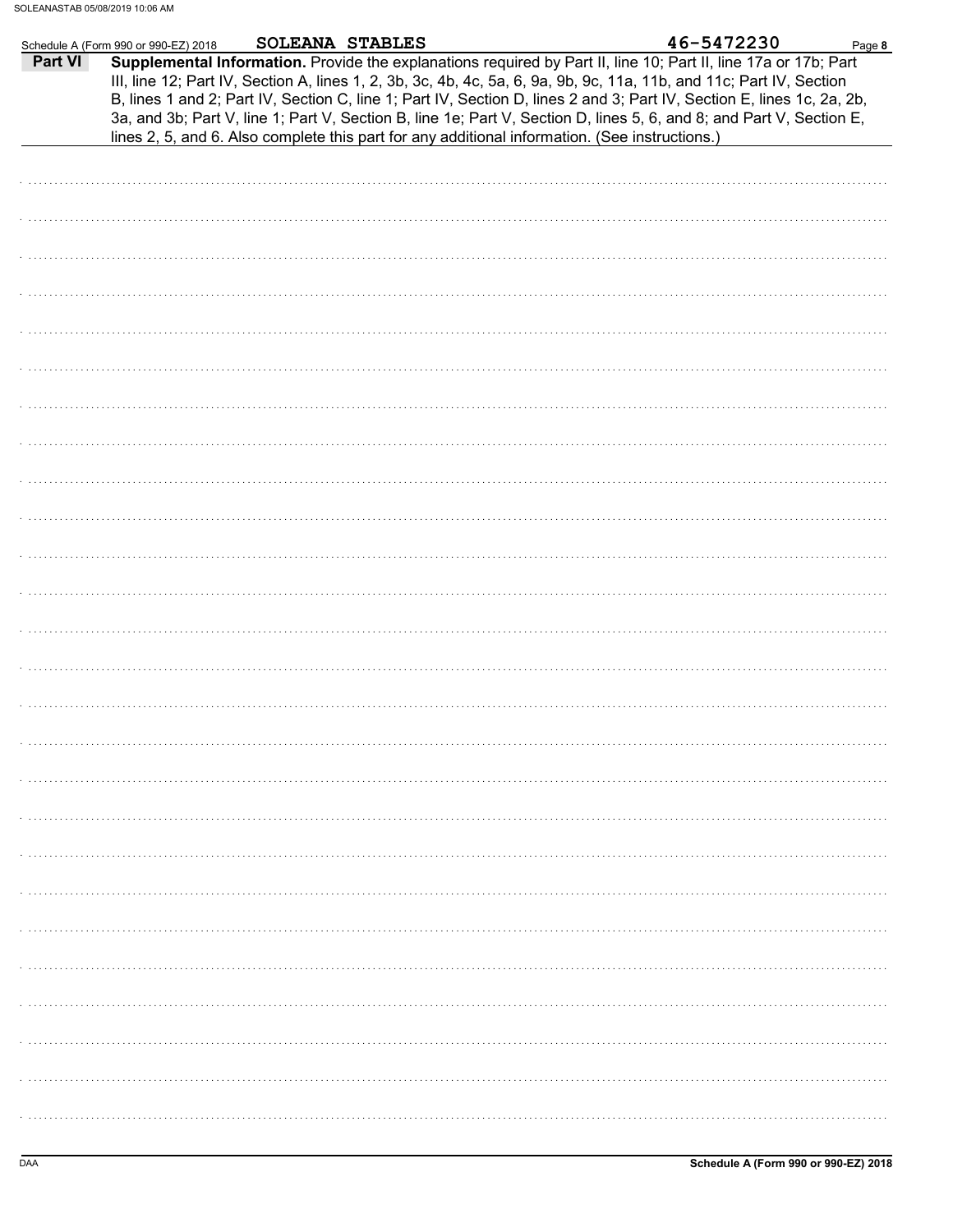|         | <b>SOLEANA STABLES</b><br>Schedule A (Form 990 or 990-EZ) 2018                                 | 46-5472230<br>Page 8                                                                                                                                                                                                                                                                                                                                                                                                                                                                      |
|---------|------------------------------------------------------------------------------------------------|-------------------------------------------------------------------------------------------------------------------------------------------------------------------------------------------------------------------------------------------------------------------------------------------------------------------------------------------------------------------------------------------------------------------------------------------------------------------------------------------|
| Part VI | lines 2, 5, and 6. Also complete this part for any additional information. (See instructions.) | Supplemental Information. Provide the explanations required by Part II, line 10; Part II, line 17a or 17b; Part<br>III, line 12; Part IV, Section A, lines 1, 2, 3b, 3c, 4b, 4c, 5a, 6, 9a, 9b, 9c, 11a, 11b, and 11c; Part IV, Section<br>B, lines 1 and 2; Part IV, Section C, line 1; Part IV, Section D, lines 2 and 3; Part IV, Section E, lines 1c, 2a, 2b,<br>3a, and 3b; Part V, line 1; Part V, Section B, line 1e; Part V, Section D, lines 5, 6, and 8; and Part V, Section E, |
|         |                                                                                                |                                                                                                                                                                                                                                                                                                                                                                                                                                                                                           |
|         |                                                                                                |                                                                                                                                                                                                                                                                                                                                                                                                                                                                                           |
|         |                                                                                                |                                                                                                                                                                                                                                                                                                                                                                                                                                                                                           |
|         |                                                                                                |                                                                                                                                                                                                                                                                                                                                                                                                                                                                                           |
|         |                                                                                                |                                                                                                                                                                                                                                                                                                                                                                                                                                                                                           |
|         |                                                                                                |                                                                                                                                                                                                                                                                                                                                                                                                                                                                                           |
|         |                                                                                                |                                                                                                                                                                                                                                                                                                                                                                                                                                                                                           |
|         |                                                                                                |                                                                                                                                                                                                                                                                                                                                                                                                                                                                                           |
|         |                                                                                                |                                                                                                                                                                                                                                                                                                                                                                                                                                                                                           |
|         |                                                                                                |                                                                                                                                                                                                                                                                                                                                                                                                                                                                                           |
|         |                                                                                                |                                                                                                                                                                                                                                                                                                                                                                                                                                                                                           |
|         |                                                                                                |                                                                                                                                                                                                                                                                                                                                                                                                                                                                                           |
|         |                                                                                                |                                                                                                                                                                                                                                                                                                                                                                                                                                                                                           |
|         |                                                                                                |                                                                                                                                                                                                                                                                                                                                                                                                                                                                                           |
|         |                                                                                                |                                                                                                                                                                                                                                                                                                                                                                                                                                                                                           |
|         |                                                                                                |                                                                                                                                                                                                                                                                                                                                                                                                                                                                                           |
|         |                                                                                                |                                                                                                                                                                                                                                                                                                                                                                                                                                                                                           |
|         |                                                                                                |                                                                                                                                                                                                                                                                                                                                                                                                                                                                                           |
|         |                                                                                                |                                                                                                                                                                                                                                                                                                                                                                                                                                                                                           |
|         |                                                                                                |                                                                                                                                                                                                                                                                                                                                                                                                                                                                                           |
|         |                                                                                                |                                                                                                                                                                                                                                                                                                                                                                                                                                                                                           |
|         |                                                                                                |                                                                                                                                                                                                                                                                                                                                                                                                                                                                                           |
|         |                                                                                                |                                                                                                                                                                                                                                                                                                                                                                                                                                                                                           |
|         |                                                                                                |                                                                                                                                                                                                                                                                                                                                                                                                                                                                                           |
|         |                                                                                                |                                                                                                                                                                                                                                                                                                                                                                                                                                                                                           |
|         |                                                                                                |                                                                                                                                                                                                                                                                                                                                                                                                                                                                                           |
|         |                                                                                                |                                                                                                                                                                                                                                                                                                                                                                                                                                                                                           |
|         |                                                                                                |                                                                                                                                                                                                                                                                                                                                                                                                                                                                                           |
|         |                                                                                                |                                                                                                                                                                                                                                                                                                                                                                                                                                                                                           |
|         |                                                                                                |                                                                                                                                                                                                                                                                                                                                                                                                                                                                                           |
|         |                                                                                                |                                                                                                                                                                                                                                                                                                                                                                                                                                                                                           |
|         |                                                                                                |                                                                                                                                                                                                                                                                                                                                                                                                                                                                                           |
|         |                                                                                                |                                                                                                                                                                                                                                                                                                                                                                                                                                                                                           |
|         |                                                                                                |                                                                                                                                                                                                                                                                                                                                                                                                                                                                                           |
|         |                                                                                                |                                                                                                                                                                                                                                                                                                                                                                                                                                                                                           |
|         |                                                                                                |                                                                                                                                                                                                                                                                                                                                                                                                                                                                                           |
|         |                                                                                                |                                                                                                                                                                                                                                                                                                                                                                                                                                                                                           |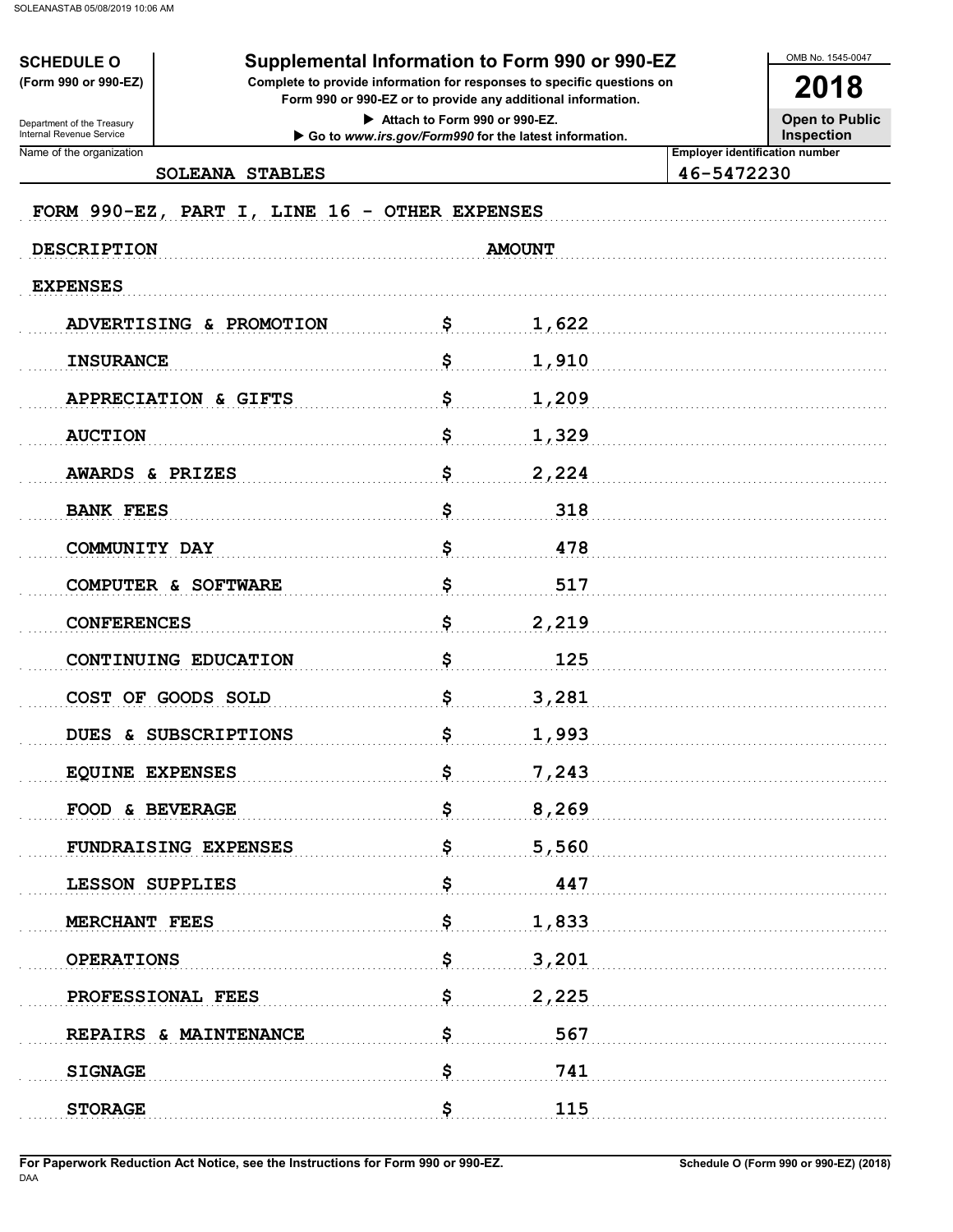**SCHEDULE O** (Form 990 or 990-EZ)

## Supplemental Information to Form 990 or 990-EZ

Complete to provide information for responses to specific questions on Form 990 or 990-EZ or to provide any additional information.

> Attach to Form 990 or 990-EZ. Go to www.irs.gov/Form990 for the latest information.

**Open to Public Inspection** 

OMB No. 1545-0047

2018

Name of the organization

Department of the Treasury<br>Internal Revenue Service

SOLEANA STABLES

46-5472230

**Employer identification number** 

| FORM 990-EZ, PART I, LINE 16 - OTHER EXPENSES |               |  |
|-----------------------------------------------|---------------|--|
| <b>DESCRIPTION</b>                            | <b>AMOUNT</b> |  |
| <b>EXPENSES</b>                               |               |  |
| ADVERTISING & PROMOTION                       | \$<br>1,622   |  |
| <b>INSURANCE</b>                              | \$<br>1,910   |  |
| APPRECIATION & GIFTS                          | \$<br>1,209   |  |
| <b>AUCTION</b>                                | \$<br>1,329   |  |
| AWARDS & PRIZES                               | \$<br>2,224   |  |
| <b>BANK FEES</b>                              | \$<br>318     |  |
| COMMUNITY DAY                                 | \$<br>478     |  |
| COMPUTER & SOFTWARE                           | \$<br>517     |  |
| <b>CONFERENCES</b>                            | \$<br>2,219   |  |
| CONTINUING EDUCATION                          | \$<br>125     |  |
| COST OF GOODS SOLD                            | \$<br>3,281   |  |
| DUES & SUBSCRIPTIONS                          | \$<br>1,993   |  |
| <b>EQUINE EXPENSES</b>                        | \$<br>7,243   |  |
| FOOD & BEVERAGE                               | \$<br>8,269   |  |
| FUNDRAISING EXPENSES                          | \$<br>5,560   |  |
| <b>LESSON SUPPLIES</b>                        | \$<br>447     |  |
| MERCHANT FEES                                 | \$<br>1,833   |  |
| <b>OPERATIONS</b>                             | \$<br>3,201   |  |
| PROFESSIONAL FEES                             | \$<br>2,225   |  |
| REPAIRS & MAINTENANCE                         | \$<br>567     |  |
| <b>SIGNAGE</b>                                | \$<br>741     |  |
| <b>STORAGE</b>                                | \$<br>115     |  |
|                                               |               |  |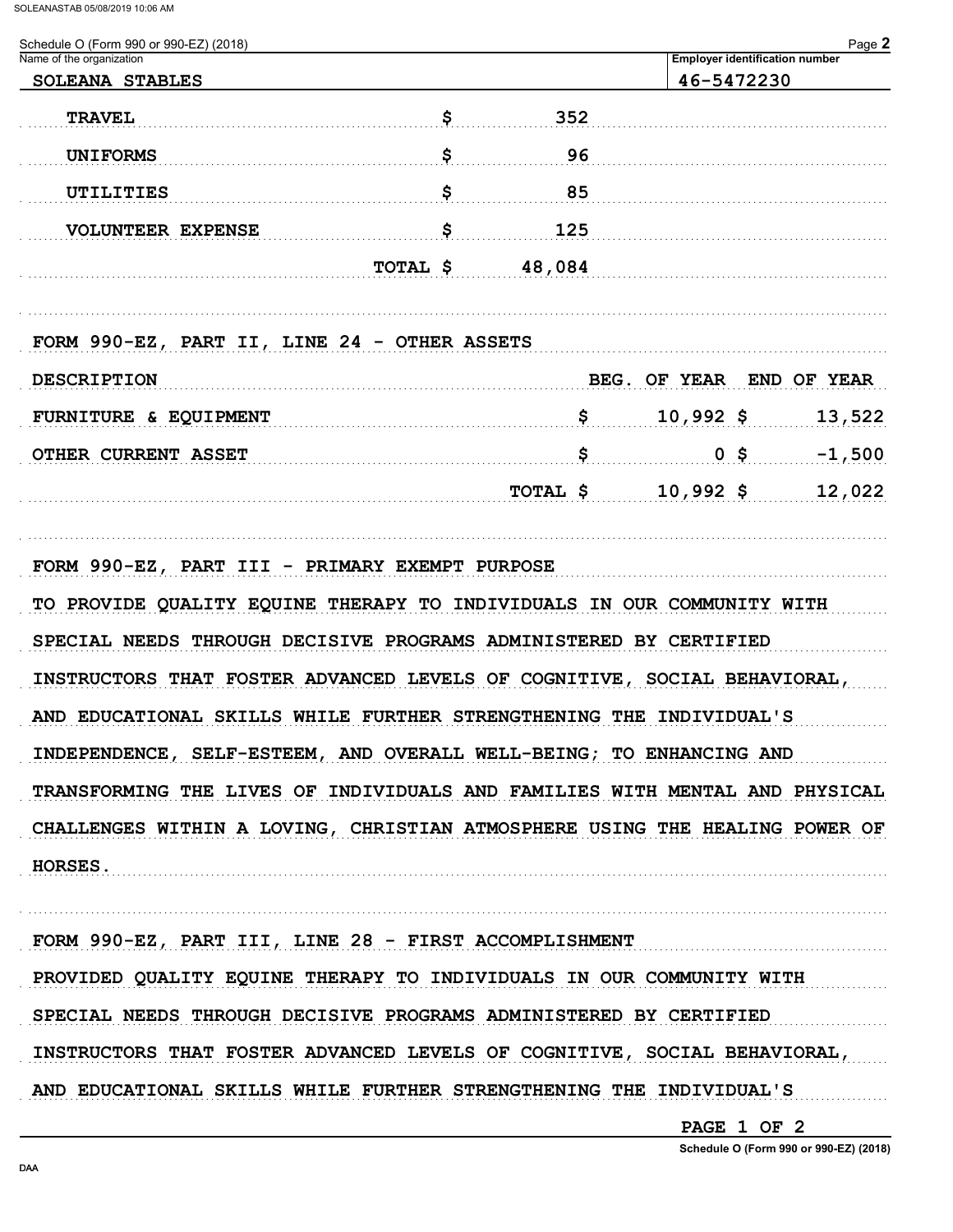| Schedule O (Form 990 or 990-EZ) (2018)       |          |     |                          |        | Page 2                                |
|----------------------------------------------|----------|-----|--------------------------|--------|---------------------------------------|
| Name of the organization                     |          |     | 46-5472230               |        | <b>Employer identification number</b> |
| SOLEANA STABLES                              |          |     |                          |        |                                       |
| <b>TRAVEL</b>                                | \$       | 352 |                          |        |                                       |
| <b>UNIFORMS</b>                              | \$       | 96  |                          |        |                                       |
| UTILITIES                                    | \$       | 85  |                          |        |                                       |
| <b>VOLUNTEER EXPENSE</b>                     | \$       | 125 |                          |        |                                       |
| TOTAL \$                                     | 48,084   |     |                          |        |                                       |
| FORM 990-EZ, PART II, LINE 24 - OTHER ASSETS |          |     |                          |        |                                       |
| <b>DESCRIPTION</b>                           |          |     | BEG. OF YEAR END OF YEAR |        |                                       |
|                                              |          |     |                          |        |                                       |
| FURNITURE & EQUIPMENT                        |          | \$  | $10,992$ \$              |        | 13,522                                |
| OTHER CURRENT ASSET                          |          | \$  |                          | $0$ \$ | $-1,500$                              |
|                                              | TOTAL \$ |     | $10,992$ \$              |        | 12,022                                |
|                                              |          |     |                          |        |                                       |

FORM 990-EZ, PART III - PRIMARY EXEMPT PURPOSE TO PROVIDE QUALITY EQUINE THERAPY TO INDIVIDUALS IN OUR COMMUNITY WITH SPECIAL NEEDS THROUGH DECISIVE PROGRAMS ADMINISTERED BY CERTIFIED INSTRUCTORS THAT FOSTER ADVANCED LEVELS OF COGNITIVE, SOCIAL BEHAVIORAL, AND EDUCATIONAL SKILLS WHILE FURTHER STRENGTHENING THE INDIVIDUAL'S INDEPENDENCE, SELF-ESTEEM, AND OVERALL WELL-BEING; TO ENHANCING AND TRANSFORMING THE LIVES OF INDIVIDUALS AND FAMILIES WITH MENTAL AND PHYSICAL CHALLENGES WITHIN A LOVING, CHRISTIAN ATMOSPHERE USING THE HEALING POWER OF HORSES.

FORM 990-EZ, PART III, LINE 28 - FIRST ACCOMPLISHMENT PROVIDED QUALITY EQUINE THERAPY TO INDIVIDUALS IN OUR COMMUNITY WITH SPECIAL NEEDS THROUGH DECISIVE PROGRAMS ADMINISTERED BY CERTIFIED INSTRUCTORS THAT FOSTER ADVANCED LEVELS OF COGNITIVE, SOCIAL BEHAVIORAL, AND EDUCATIONAL SKILLS WHILE FURTHER STRENGTHENING THE INDIVIDUAL'S

PAGE 1 OF 2

Schedule O (Form 990 or 990-EZ) (2018)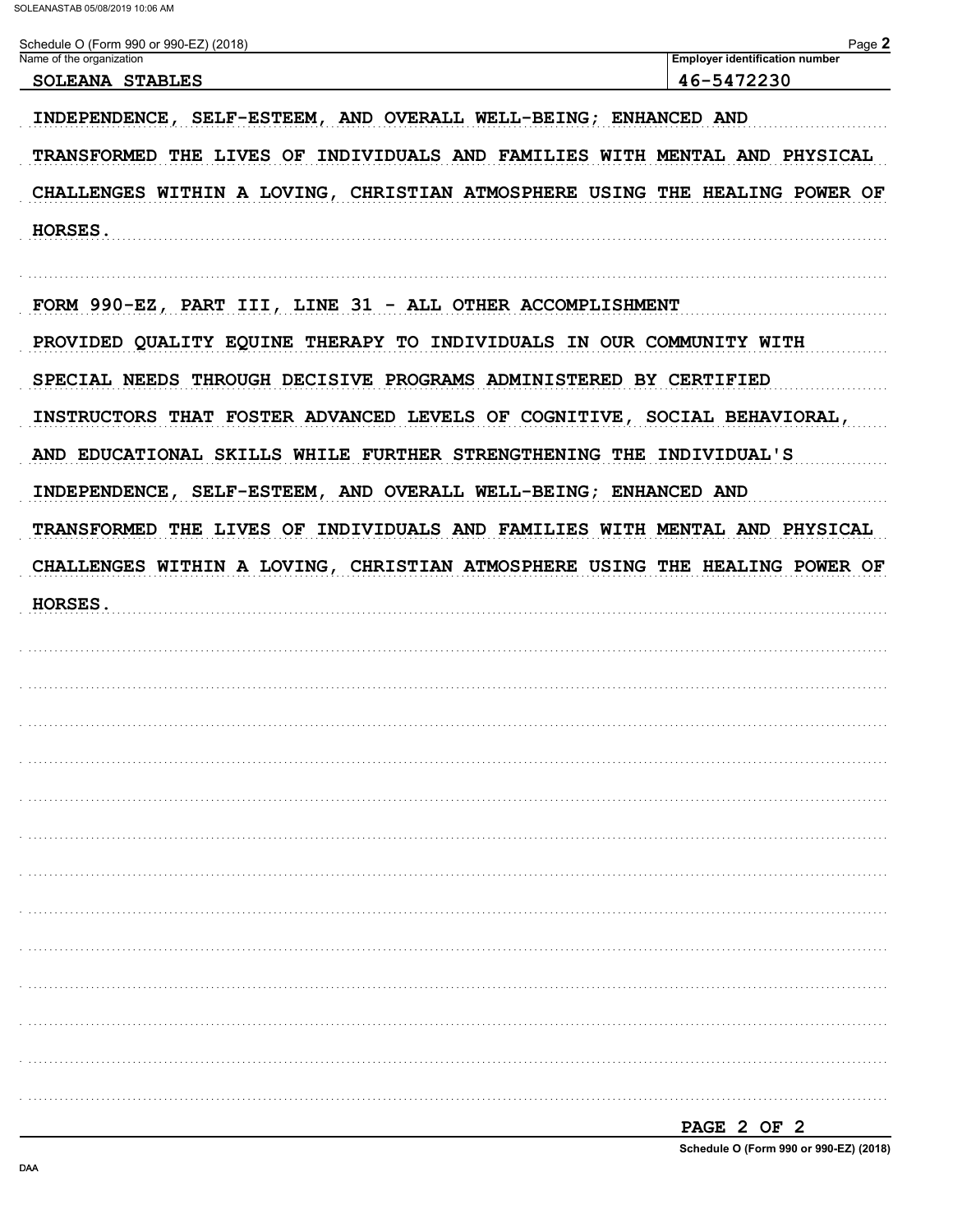| Schedule O (Form 990 or 990-EZ) (2018)<br>Name of the organization          | Page 2<br><b>Employer identification number</b> |
|-----------------------------------------------------------------------------|-------------------------------------------------|
| <b>SOLEANA STABLES</b>                                                      | 46-5472230                                      |
| INDEPENDENCE, SELF-ESTEEM, AND OVERALL WELL-BEING; ENHANCED AND             |                                                 |
| TRANSFORMED THE LIVES OF INDIVIDUALS AND FAMILIES WITH MENTAL AND PHYSICAL  |                                                 |
| CHALLENGES WITHIN A LOVING, CHRISTIAN ATMOSPHERE USING THE HEALING POWER OF |                                                 |
| HORSES.                                                                     |                                                 |
| FORM 990-EZ, PART III, LINE 31 - ALL OTHER ACCOMPLISHMENT                   |                                                 |
| PROVIDED QUALITY EQUINE THERAPY TO INDIVIDUALS IN OUR COMMUNITY WITH        |                                                 |
| SPECIAL NEEDS THROUGH DECISIVE PROGRAMS ADMINISTERED BY CERTIFIED           |                                                 |
| INSTRUCTORS THAT FOSTER ADVANCED LEVELS OF COGNITIVE, SOCIAL BEHAVIORAL,    |                                                 |
| AND EDUCATIONAL SKILLS WHILE FURTHER STRENGTHENING THE INDIVIDUAL'S         |                                                 |
| INDEPENDENCE, SELF-ESTEEM, AND OVERALL WELL-BEING; ENHANCED AND             |                                                 |
| TRANSFORMED THE LIVES OF INDIVIDUALS AND FAMILIES WITH MENTAL AND PHYSICAL  |                                                 |
| CHALLENGES WITHIN A LOVING, CHRISTIAN ATMOSPHERE USING THE HEALING POWER OF |                                                 |
| HORSES.                                                                     |                                                 |
|                                                                             |                                                 |
|                                                                             |                                                 |
|                                                                             |                                                 |
|                                                                             |                                                 |
|                                                                             |                                                 |
|                                                                             |                                                 |
|                                                                             |                                                 |
|                                                                             |                                                 |
|                                                                             |                                                 |
|                                                                             |                                                 |
|                                                                             |                                                 |
|                                                                             |                                                 |
|                                                                             |                                                 |

PAGE 2 OF 2

Schedule O (Form 990 or 990-EZ) (2018)